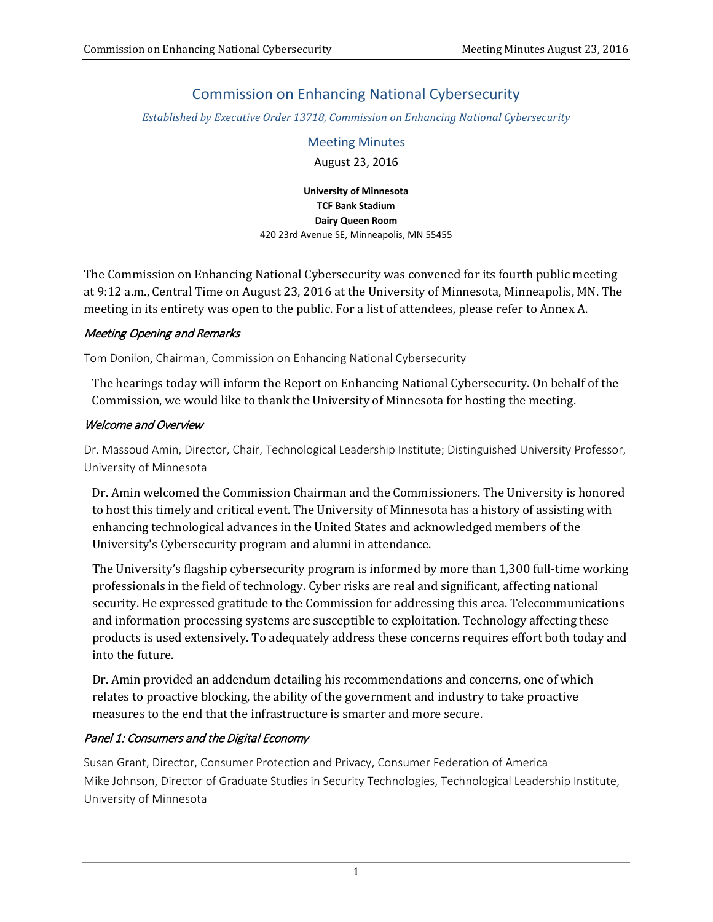# Commission on Enhancing National Cybersecurity

*Established by Executive Order 13718, Commission on Enhancing National Cybersecurity*

Meeting Minutes August 23, 2016

**University of Minnesota TCF Bank Stadium Dairy Queen Room**  420 23rd Avenue SE, Minneapolis, MN 55455

The Commission on Enhancing National Cybersecurity was convened for its fourth public meeting at 9:12 a.m., Central Time on August 23, 2016 at the University of Minnesota, Minneapolis, MN. The meeting in its entirety was open to the public. For a list of attendees, please refer to Annex A.

#### Meeting Opening and Remarks

Tom Donilon, Chairman, Commission on Enhancing National Cybersecurity

The hearings today will inform the Report on Enhancing National Cybersecurity. On behalf of the Commission, we would like to thank the University of Minnesota for hosting the meeting.

#### Welcome and Overview

Dr. Massoud Amin, Director, Chair, Technological Leadership Institute; Distinguished University Professor, University of Minnesota

Dr. Amin welcomed the Commission Chairman and the Commissioners. The University is honored to host this timely and critical event. The University of Minnesota has a history of assisting with enhancing technological advances in the United States and acknowledged members of the University's Cybersecurity program and alumni in attendance.

The University's flagship cybersecurity program is informed by more than 1,300 full-time working professionals in the field of technology. Cyber risks are real and significant, affecting national security. He expressed gratitude to the Commission for addressing this area. Telecommunications and information processing systems are susceptible to exploitation. Technology affecting these products is used extensively. To adequately address these concerns requires effort both today and into the future.

Dr. Amin provided an addendum detailing his recommendations and concerns, one of which relates to proactive blocking, the ability of the government and industry to take proactive measures to the end that the infrastructure is smarter and more secure.

## Panel 1: Consumers and the Digital Economy

Susan Grant, Director, Consumer Protection and Privacy, Consumer Federation of America Mike Johnson, Director of Graduate Studies in Security Technologies, Technological Leadership Institute, University of Minnesota

1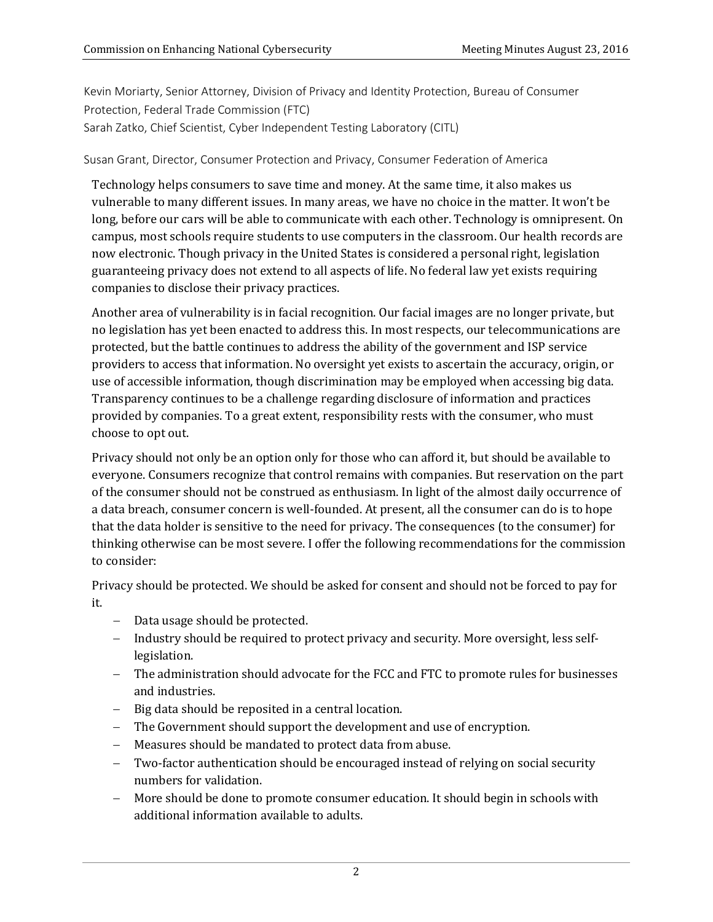Kevin Moriarty, Senior Attorney, Division of Privacy and Identity Protection, Bureau of Consumer Protection, Federal Trade Commission (FTC) Sarah Zatko, Chief Scientist, Cyber Independent Testing Laboratory (CITL)

#### Susan Grant, Director, Consumer Protection and Privacy, Consumer Federation of America

Technology helps consumers to save time and money. At the same time, it also makes us vulnerable to many different issues. In many areas, we have no choice in the matter. It won't be long, before our cars will be able to communicate with each other. Technology is omnipresent. On campus, most schools require students to use computers in the classroom. Our health records are now electronic. Though privacy in the United States is considered a personal right, legislation guaranteeing privacy does not extend to all aspects of life. No federal law yet exists requiring companies to disclose their privacy practices.

Another area of vulnerability is in facial recognition. Our facial images are no longer private, but no legislation has yet been enacted to address this. In most respects, our telecommunications are protected, but the battle continues to address the ability of the government and ISP service providers to access that information. No oversight yet exists to ascertain the accuracy, origin, or use of accessible information, though discrimination may be employed when accessing big data. Transparency continues to be a challenge regarding disclosure of information and practices provided by companies. To a great extent, responsibility rests with the consumer, who must choose to opt out.

Privacy should not only be an option only for those who can afford it, but should be available to everyone. Consumers recognize that control remains with companies. But reservation on the part of the consumer should not be construed as enthusiasm. In light of the almost daily occurrence of a data breach, consumer concern is well-founded. At present, all the consumer can do is to hope that the data holder is sensitive to the need for privacy. The consequences (to the consumer) for thinking otherwise can be most severe. I offer the following recommendations for the commission to consider:

Privacy should be protected. We should be asked for consent and should not be forced to pay for it.

- − Data usage should be protected.
- − Industry should be required to protect privacy and security. More oversight, less selflegislation.
- − The administration should advocate for the FCC and FTC to promote rules for businesses and industries.
- − Big data should be reposited in a central location.
- − The Government should support the development and use of encryption.
- − Measures should be mandated to protect data from abuse.
- Two-factor authentication should be encouraged instead of relying on social security numbers for validation.
- More should be done to promote consumer education. It should begin in schools with additional information available to adults.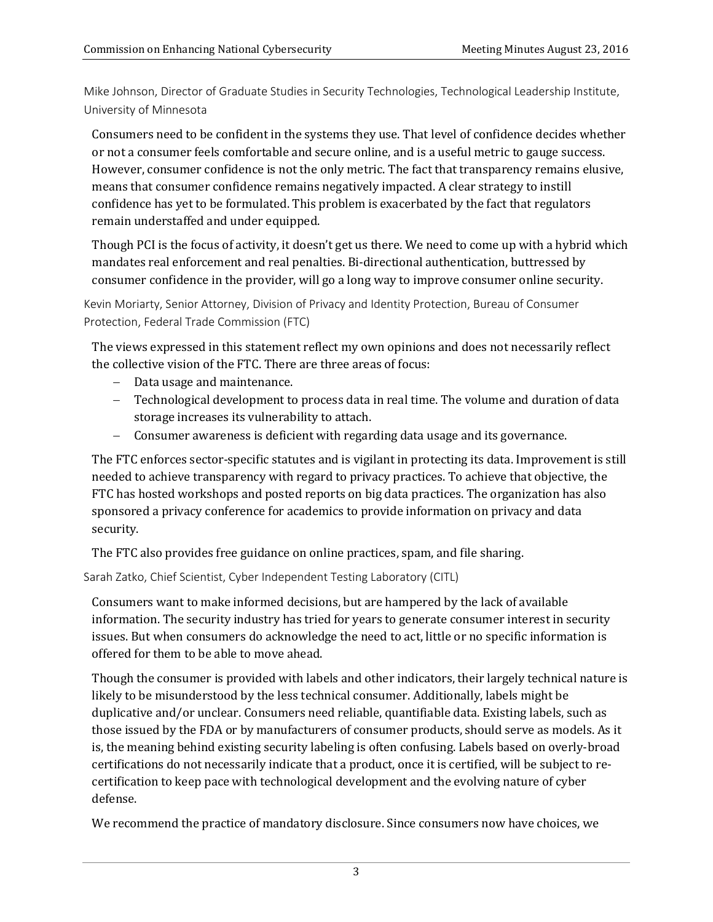Mike Johnson, Director of Graduate Studies in Security Technologies, Technological Leadership Institute, University of Minnesota

Consumers need to be confident in the systems they use. That level of confidence decides whether or not a consumer feels comfortable and secure online, and is a useful metric to gauge success. However, consumer confidence is not the only metric. The fact that transparency remains elusive, means that consumer confidence remains negatively impacted. A clear strategy to instill confidence has yet to be formulated. This problem is exacerbated by the fact that regulators remain understaffed and under equipped.

Though PCI is the focus of activity, it doesn't get us there. We need to come up with a hybrid which mandates real enforcement and real penalties. Bi-directional authentication, buttressed by consumer confidence in the provider, will go a long way to improve consumer online security.

Kevin Moriarty, Senior Attorney, Division of Privacy and Identity Protection, Bureau of Consumer Protection, Federal Trade Commission (FTC)

The views expressed in this statement reflect my own opinions and does not necessarily reflect the collective vision of the FTC. There are three areas of focus:

- − Data usage and maintenance.
- − Technological development to process data in real time. The volume and duration of data storage increases its vulnerability to attach.
- − Consumer awareness is deficient with regarding data usage and its governance.

The FTC enforces sector-specific statutes and is vigilant in protecting its data. Improvement is still needed to achieve transparency with regard to privacy practices. To achieve that objective, the FTC has hosted workshops and posted reports on big data practices. The organization has also sponsored a privacy conference for academics to provide information on privacy and data security.

The FTC also provides free guidance on online practices, spam, and file sharing.

Sarah Zatko, Chief Scientist, Cyber Independent Testing Laboratory (CITL)

Consumers want to make informed decisions, but are hampered by the lack of available information. The security industry has tried for years to generate consumer interest in security issues. But when consumers do acknowledge the need to act, little or no specific information is offered for them to be able to move ahead.

Though the consumer is provided with labels and other indicators, their largely technical nature is likely to be misunderstood by the less technical consumer. Additionally, labels might be duplicative and/or unclear. Consumers need reliable, quantifiable data. Existing labels, such as those issued by the FDA or by manufacturers of consumer products, should serve as models. As it is, the meaning behind existing security labeling is often confusing. Labels based on overly-broad certifications do not necessarily indicate that a product, once it is certified, will be subject to recertification to keep pace with technological development and the evolving nature of cyber defense.

We recommend the practice of mandatory disclosure. Since consumers now have choices, we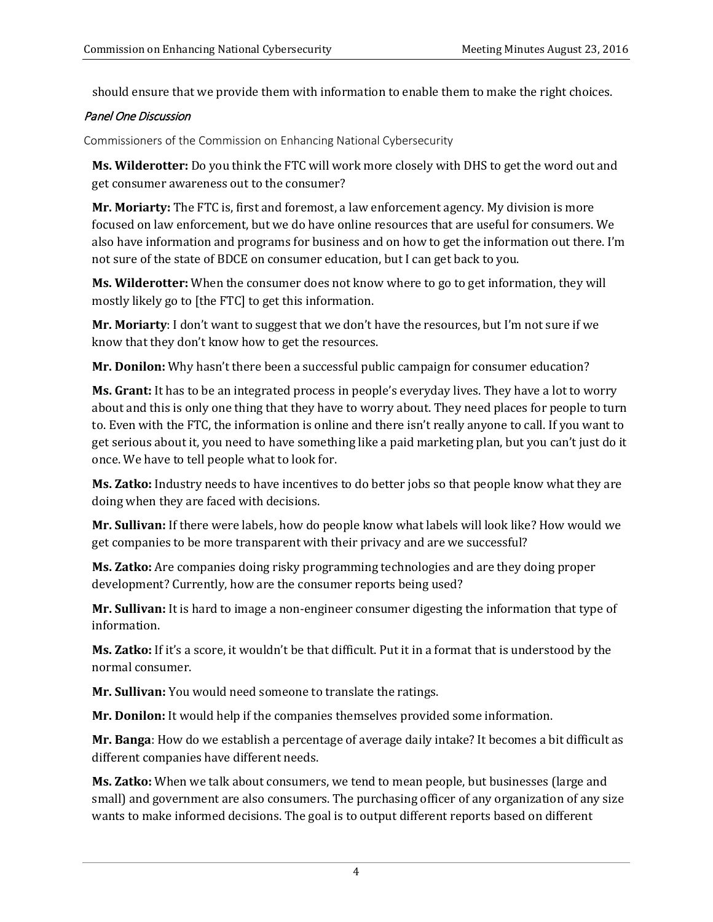should ensure that we provide them with information to enable them to make the right choices.

## Panel One Discussion

Commissioners of the Commission on Enhancing National Cybersecurity

**Ms. Wilderotter:** Do you think the FTC will work more closely with DHS to get the word out and get consumer awareness out to the consumer?

**Mr. Moriarty:** The FTC is, first and foremost, a law enforcement agency. My division is more focused on law enforcement, but we do have online resources that are useful for consumers. We also have information and programs for business and on how to get the information out there. I'm not sure of the state of BDCE on consumer education, but I can get back to you.

**Ms. Wilderotter:** When the consumer does not know where to go to get information, they will mostly likely go to [the FTC] to get this information.

**Mr. Moriarty**: I don't want to suggest that we don't have the resources, but I'm not sure if we know that they don't know how to get the resources.

**Mr. Donilon:** Why hasn't there been a successful public campaign for consumer education?

**Ms. Grant:** It has to be an integrated process in people's everyday lives. They have a lot to worry about and this is only one thing that they have to worry about. They need places for people to turn to. Even with the FTC, the information is online and there isn't really anyone to call. If you want to get serious about it, you need to have something like a paid marketing plan, but you can't just do it once. We have to tell people what to look for.

**Ms. Zatko:** Industry needs to have incentives to do better jobs so that people know what they are doing when they are faced with decisions.

**Mr. Sullivan:** If there were labels, how do people know what labels will look like? How would we get companies to be more transparent with their privacy and are we successful?

**Ms. Zatko:** Are companies doing risky programming technologies and are they doing proper development? Currently, how are the consumer reports being used?

**Mr. Sullivan:** It is hard to image a non-engineer consumer digesting the information that type of information.

**Ms. Zatko:** If it's a score, it wouldn't be that difficult. Put it in a format that is understood by the normal consumer.

**Mr. Sullivan:** You would need someone to translate the ratings.

**Mr. Donilon:** It would help if the companies themselves provided some information.

**Mr. Banga**: How do we establish a percentage of average daily intake? It becomes a bit difficult as different companies have different needs.

**Ms. Zatko:** When we talk about consumers, we tend to mean people, but businesses (large and small) and government are also consumers. The purchasing officer of any organization of any size wants to make informed decisions. The goal is to output different reports based on different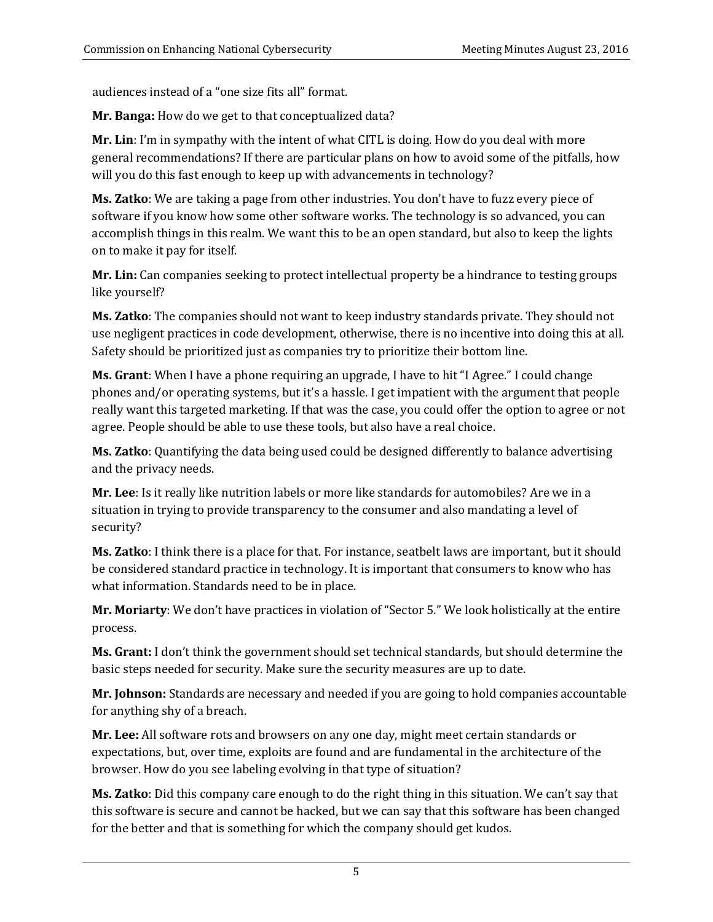audiences instead of a "one size fits all" format.

**Mr. Banga:** How do we get to that conceptualized data?

**Mr. Lin**: I'm in sympathy with the intent of what CITL is doing. How do you deal with more general recommendations? If there are particular plans on how to avoid some of the pitfalls, how will you do this fast enough to keep up with advancements in technology?

**Ms. Zatko**: We are taking a page from other industries. You don't have to fuzz every piece of software if you know how some other software works. The technology is so advanced, you can accomplish things in this realm. We want this to be an open standard, but also to keep the lights on to make it pay for itself.

**Mr. Lin:** Can companies seeking to protect intellectual property be a hindrance to testing groups like yourself?

**Ms. Zatko**: The companies should not want to keep industry standards private. They should not use negligent practices in code development, otherwise, there is no incentive into doing this at all. Safety should be prioritized just as companies try to prioritize their bottom line.

**Ms. Grant**: When I have a phone requiring an upgrade, I have to hit "I Agree." I could change phones and/or operating systems, but it's a hassle. I get impatient with the argument that people really want this targeted marketing. If that was the case, you could offer the option to agree or not agree. People should be able to use these tools, but also have a real choice.

**Ms. Zatko**: Quantifying the data being used could be designed differently to balance advertising and the privacy needs.

**Mr. Lee**: Is it really like nutrition labels or more like standards for automobiles? Are we in a situation in trying to provide transparency to the consumer and also mandating a level of security?

**Ms. Zatko**: I think there is a place for that. For instance, seatbelt laws are important, but it should be considered standard practice in technology. It is important that consumers to know who has what information. Standards need to be in place.

**Mr. Moriarty**: We don't have practices in violation of "Sector 5." We look holistically at the entire process.

**Ms. Grant:** I don't think the government should set technical standards, but should determine the basic steps needed for security. Make sure the security measures are up to date.

**Mr. Johnson:** Standards are necessary and needed if you are going to hold companies accountable for anything shy of a breach.

**Mr. Lee:** All software rots and browsers on any one day, might meet certain standards or expectations, but, over time, exploits are found and are fundamental in the architecture of the browser. How do you see labeling evolving in that type of situation?

**Ms. Zatko**: Did this company care enough to do the right thing in this situation. We can't say that this software is secure and cannot be hacked, but we can say that this software has been changed for the better and that is something for which the company should get kudos.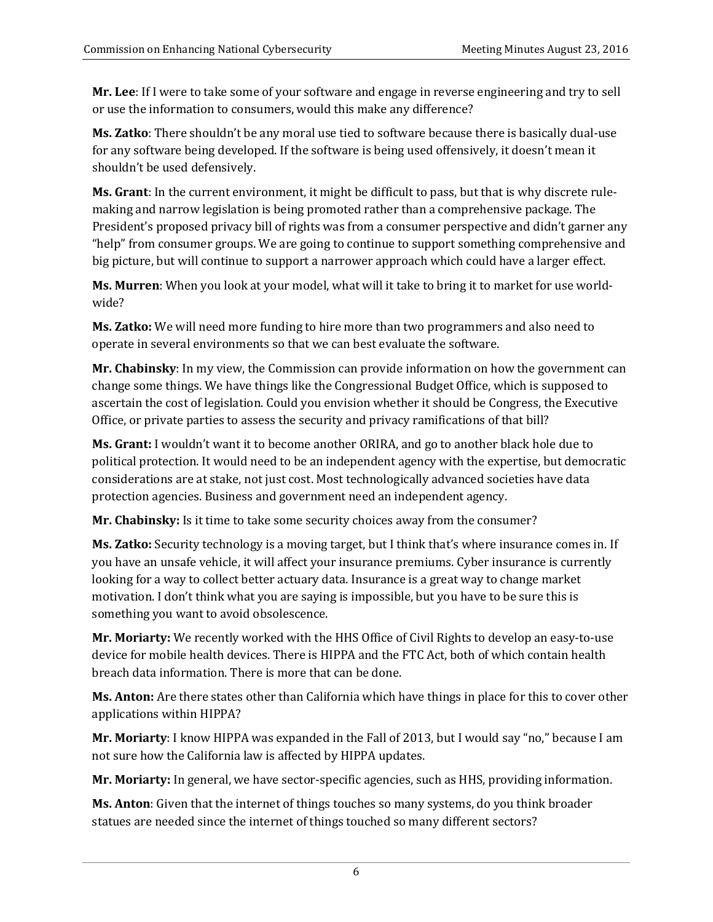**Mr. Lee**: If I were to take some of your software and engage in reverse engineering and try to sell or use the information to consumers, would this make any difference?

**Ms. Zatko**: There shouldn't be any moral use tied to software because there is basically dual-use for any software being developed. If the software is being used offensively, it doesn't mean it shouldn't be used defensively.

**Ms. Grant**: In the current environment, it might be difficult to pass, but that is why discrete rulemaking and narrow legislation is being promoted rather than a comprehensive package. The President's proposed privacy bill of rights was from a consumer perspective and didn't garner any "help" from consumer groups. We are going to continue to support something comprehensive and big picture, but will continue to support a narrower approach which could have a larger effect.

**Ms. Murren**: When you look at your model, what will it take to bring it to market for use worldwide?

**Ms. Zatko:** We will need more funding to hire more than two programmers and also need to operate in several environments so that we can best evaluate the software.

**Mr. Chabinsky**: In my view, the Commission can provide information on how the government can change some things. We have things like the Congressional Budget Office, which is supposed to ascertain the cost of legislation. Could you envision whether it should be Congress, the Executive Office, or private parties to assess the security and privacy ramifications of that bill?

**Ms. Grant:** I wouldn't want it to become another ORIRA, and go to another black hole due to political protection. It would need to be an independent agency with the expertise, but democratic considerations are at stake, not just cost. Most technologically advanced societies have data protection agencies. Business and government need an independent agency.

**Mr. Chabinsky:** Is it time to take some security choices away from the consumer?

**Ms. Zatko:** Security technology is a moving target, but I think that's where insurance comes in. If you have an unsafe vehicle, it will affect your insurance premiums. Cyber insurance is currently looking for a way to collect better actuary data. Insurance is a great way to change market motivation. I don't think what you are saying is impossible, but you have to be sure this is something you want to avoi[d obsolescence.](https://www.google.com/search?complete=0&hl=en&biw=1745&bih=851&site=webhp&q=obsolescence&spell=1&sa=X&ved=0ahUKEwjZ7paM5-nOAhVMKh4KHUflDxoQvwUIGSgA)

**Mr. Moriarty:** We recently worked with the HHS Office of Civil Rights to develop an easy-to-use device for mobile health devices. There is HIPPA and the FTC Act, both of which contain health breach data information. There is more that can be done.

**Ms. Anton:** Are there states other than California which have things in place for this to cover other applications within HIPPA?

**Mr. Moriarty**: I know HIPPA was expanded in the Fall of 2013, but I would say "no," because I am not sure how the California law is affected by HIPPA updates.

**Mr. Moriarty:** In general, we have sector-specific agencies, such as HHS, providing information.

**Ms. Anton**: Given that the internet of things touches so many systems, do you think broader statues are needed since the internet of things touched so many different sectors?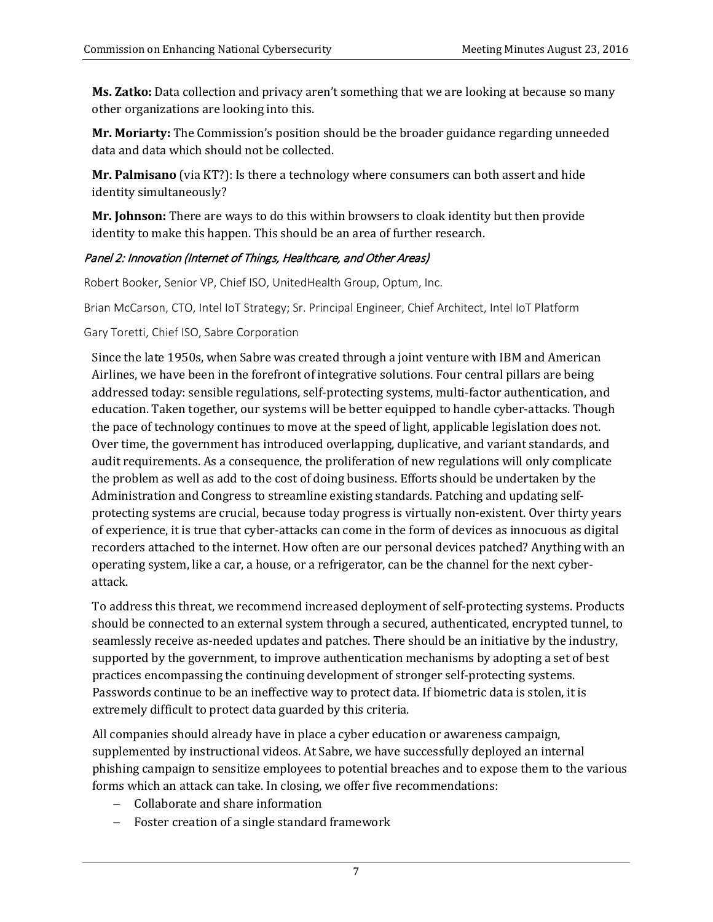**Ms. Zatko:** Data collection and privacy aren't something that we are looking at because so many other organizations are looking into this.

**Mr. Moriarty:** The Commission's position should be the broader guidance regarding unneeded data and data which should not be collected.

**Mr. Palmisano** (via KT?): Is there a technology where consumers can both assert and hide identity simultaneously?

**Mr. Johnson:** There are ways to do this within browsers to cloak identity but then provide identity to make this happen. This should be an area of further research.

## Panel 2: Innovation (Internet of Things, Healthcare, and Other Areas)

Robert Booker, Senior VP, Chief ISO, UnitedHealth Group, Optum, Inc.

Brian McCarson, CTO, Intel IoT Strategy; Sr. Principal Engineer, Chief Architect, Intel IoT Platform

Gary Toretti, Chief ISO, Sabre Corporation

Since the late 1950s, when Sabre was created through a joint venture with IBM and American Airlines, we have been in the forefront of integrative solutions. Four central pillars are being addressed today: sensible regulations, self-protecting systems, multi-factor authentication, and education. Taken together, our systems will be better equipped to handle cyber-attacks. Though the pace of technology continues to move at the speed of light, applicable legislation does not. Over time, the government has introduced overlapping, duplicative, and variant standards, and audit requirements. As a consequence, the proliferation of new regulations will only complicate the problem as well as add to the cost of doing business. Efforts should be undertaken by the Administration and Congress to streamline existing standards. Patching and updating selfprotecting systems are crucial, because today progress is virtually non-existent. Over thirty years of experience, it is true that cyber-attacks can come in the form of devices as innocuous as digital recorders attached to the internet. How often are our personal devices patched? Anything with an operating system, like a car, a house, or a refrigerator, can be the channel for the next cyberattack.

To address this threat, we recommend increased deployment of self-protecting systems. Products should be connected to an external system through a secured, authenticated, encrypted tunnel, to seamlessly receive as-needed updates and patches. There should be an initiative by the industry, supported by the government, to improve authentication mechanisms by adopting a set of best practices encompassing the continuing development of stronger self-protecting systems. Passwords continue to be an ineffective way to protect data. If biometric data is stolen, it is extremely difficult to protect data guarded by this criteria.

All companies should already have in place a cyber education or awareness campaign, supplemented by instructional videos. At Sabre, we have successfully deployed an internal phishing campaign to sensitize employees to potential breaches and to expose them to the various forms which an attack can take. In closing, we offer five recommendations:

- − Collaborate and share information
- Foster creation of a single standard framework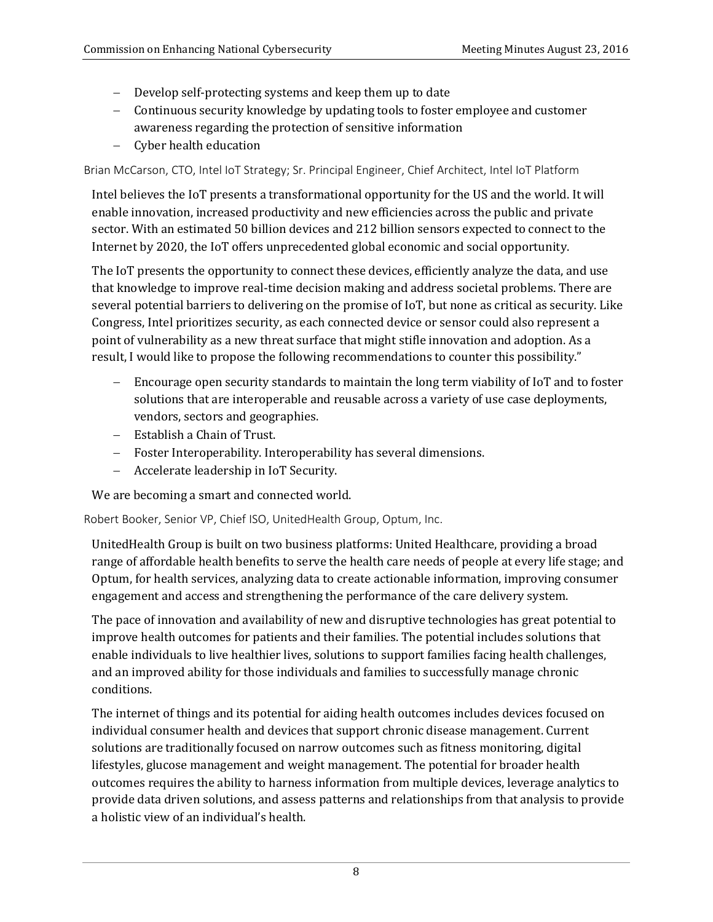- − Develop self-protecting systems and keep them up to date
- − Continuous security knowledge by updating tools to foster employee and customer awareness regarding the protection of sensitive information
- − Cyber health education

Brian McCarson, CTO, Intel IoT Strategy; Sr. Principal Engineer, Chief Architect, Intel IoT Platform

Intel believes the IoT presents a transformational opportunity for the US and the world. It will enable innovation, increased productivity and new efficiencies across the public and private sector. With an estimated 50 billion devices and 212 billion sensors expected to connect to the Internet by 2020, the IoT offers unprecedented global economic and social opportunity.

The IoT presents the opportunity to connect these devices, efficiently analyze the data, and use that knowledge to improve real-time decision making and address societal problems. There are several potential barriers to delivering on the promise of IoT, but none as critical as security. Like Congress, Intel prioritizes security, as each connected device or sensor could also represent a point of vulnerability as a new threat surface that might stifle innovation and adoption. As a result, I would like to propose the following recommendations to counter this possibility."

- − Encourage open security standards to maintain the long term viability of IoT and to foster solutions that are interoperable and reusable across a variety of use case deployments, vendors, sectors and geographies.
- − Establish a Chain of Trust.
- − Foster Interoperability. Interoperability has several dimensions.
- − Accelerate leadership in IoT Security.

We are becoming a smart and connected world.

Robert Booker, Senior VP, Chief ISO, UnitedHealth Group, Optum, Inc.

UnitedHealth Group is built on two business platforms: United Healthcare, providing a broad range of affordable health benefits to serve the health care needs of people at every life stage; and Optum, for health services, analyzing data to create actionable information, improving consumer engagement and access and strengthening the performance of the care delivery system.

The pace of innovation and availability of new and disruptive technologies has great potential to improve health outcomes for patients and their families. The potential includes solutions that enable individuals to live healthier lives, solutions to support families facing health challenges, and an improved ability for those individuals and families to successfully manage chronic conditions.

The internet of things and its potential for aiding health outcomes includes devices focused on individual consumer health and devices that support chronic disease management. Current solutions are traditionally focused on narrow outcomes such as fitness monitoring, digital lifestyles, glucose management and weight management. The potential for broader health outcomes requires the ability to harness information from multiple devices, leverage analytics to provide data driven solutions, and assess patterns and relationships from that analysis to provide a holistic view of an individual's health.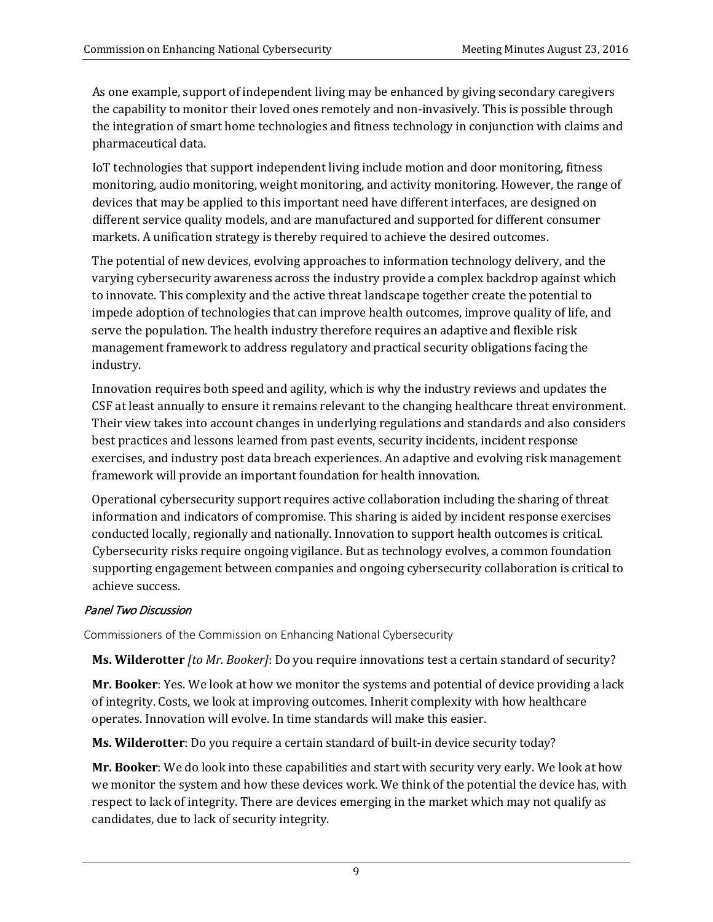As one example, support of independent living may be enhanced by giving secondary caregivers the capability to monitor their loved ones remotely and non-invasively. This is possible through the integration of smart home technologies and fitness technology in conjunction with claims and pharmaceutical data.

IoT technologies that support independent living include motion and door monitoring, fitness monitoring, audio monitoring, weight monitoring, and activity monitoring. However, the range of devices that may be applied to this important need have different interfaces, are designed on different service quality models, and are manufactured and supported for different consumer markets. A unification strategy is thereby required to achieve the desired outcomes.

The potential of new devices, evolving approaches to information technology delivery, and the varying cybersecurity awareness across the industry provide a complex backdrop against which to innovate. This complexity and the active threat landscape together create the potential to impede adoption of technologies that can improve health outcomes, improve quality of life, and serve the population. The health industry therefore requires an adaptive and flexible risk management framework to address regulatory and practical security obligations facing the industry.

Innovation requires both speed and agility, which is why the industry reviews and updates the CSF at least annually to ensure it remains relevant to the changing healthcare threat environment. Their view takes into account changes in underlying regulations and standards and also considers best practices and lessons learned from past events, security incidents, incident response exercises, and industry post data breach experiences. An adaptive and evolving risk management framework will provide an important foundation for health innovation.

Operational cybersecurity support requires active collaboration including the sharing of threat information and indicators of compromise. This sharing is aided by incident response exercises conducted locally, regionally and nationally. Innovation to support health outcomes is critical. Cybersecurity risks require ongoing vigilance. But as technology evolves, a common foundation supporting engagement between companies and ongoing cybersecurity collaboration is critical to achieve success.

## Panel Two Discussion

Commissioners of the Commission on Enhancing National Cybersecurity

**Ms. Wilderotter** *[to Mr. Booker]*: Do you require innovations test a certain standard of security?

**Mr. Booker**: Yes. We look at how we monitor the systems and potential of device providing a lack of integrity. Costs, we look at improving outcomes. Inherit complexity with how healthcare operates. Innovation will evolve. In time standards will make this easier.

**Ms. Wilderotter**: Do you require a certain standard of built-in device security today?

**Mr. Booker**: We do look into these capabilities and start with security very early. We look at how we monitor the system and how these devices work. We think of the potential the device has, with respect to lack of integrity. There are devices emerging in the market which may not qualify as candidates, due to lack of security integrity.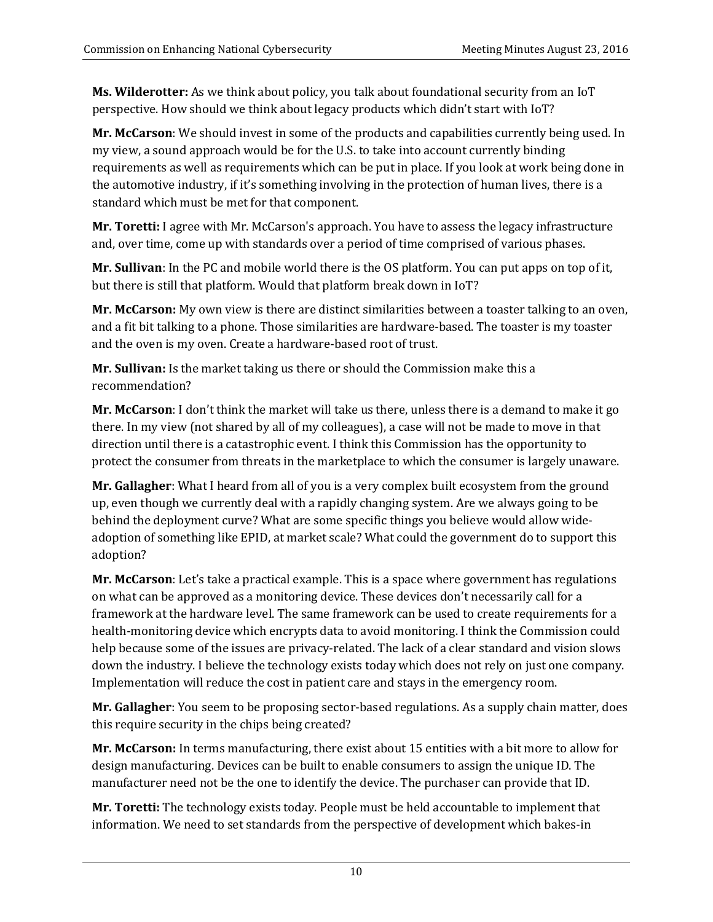**Ms. Wilderotter:** As we think about policy, you talk about foundational security from an IoT perspective. How should we think about legacy products which didn't start with IoT?

**Mr. McCarson**: We should invest in some of the products and capabilities currently being used. In my view, a sound approach would be for the U.S. to take into account currently binding requirements as well as requirements which can be put in place. If you look at work being done in the automotive industry, if it's something involving in the protection of human lives, there is a standard which must be met for that component.

**Mr. Toretti:** I agree with Mr. McCarson's approach. You have to assess the legacy infrastructure and, over time, come up with standards over a period of time comprised of various phases.

**Mr. Sullivan**: In the PC and mobile world there is the OS platform. You can put apps on top of it, but there is still that platform. Would that platform break down in IoT?

**Mr. McCarson:** My own view is there are distinct similarities between a toaster talking to an oven, and a fit bit talking to a phone. Those similarities are hardware-based. The toaster is my toaster and the oven is my oven. Create a hardware-based root of trust.

**Mr. Sullivan:** Is the market taking us there or should the Commission make this a recommendation?

**Mr. McCarson**: I don't think the market will take us there, unless there is a demand to make it go there. In my view (not shared by all of my colleagues), a case will not be made to move in that direction until there is a catastrophic event. I think this Commission has the opportunity to protect the consumer from threats in the marketplace to which the consumer is largely unaware.

**Mr. Gallagher**: What I heard from all of you is a very complex built ecosystem from the ground up, even though we currently deal with a rapidly changing system. Are we always going to be behind the deployment curve? What are some specific things you believe would allow wideadoption of something like EPID, at market scale? What could the government do to support this adoption?

**Mr. McCarson**: Let's take a practical example. This is a space where government has regulations on what can be approved as a monitoring device. These devices don't necessarily call for a framework at the hardware level. The same framework can be used to create requirements for a health-monitoring device which encrypts data to avoid monitoring. I think the Commission could help because some of the issues are privacy-related. The lack of a clear standard and vision slows down the industry. I believe the technology exists today which does not rely on just one company. Implementation will reduce the cost in patient care and stays in the emergency room.

**Mr. Gallagher**: You seem to be proposing sector-based regulations. As a supply chain matter, does this require security in the chips being created?

**Mr. McCarson:** In terms manufacturing, there exist about 15 entities with a bit more to allow for design manufacturing. Devices can be built to enable consumers to assign the unique ID. The manufacturer need not be the one to identify the device. The purchaser can provide that ID.

**Mr. Toretti:** The technology exists today. People must be held accountable to implement that information. We need to set standards from the perspective of development which bakes-in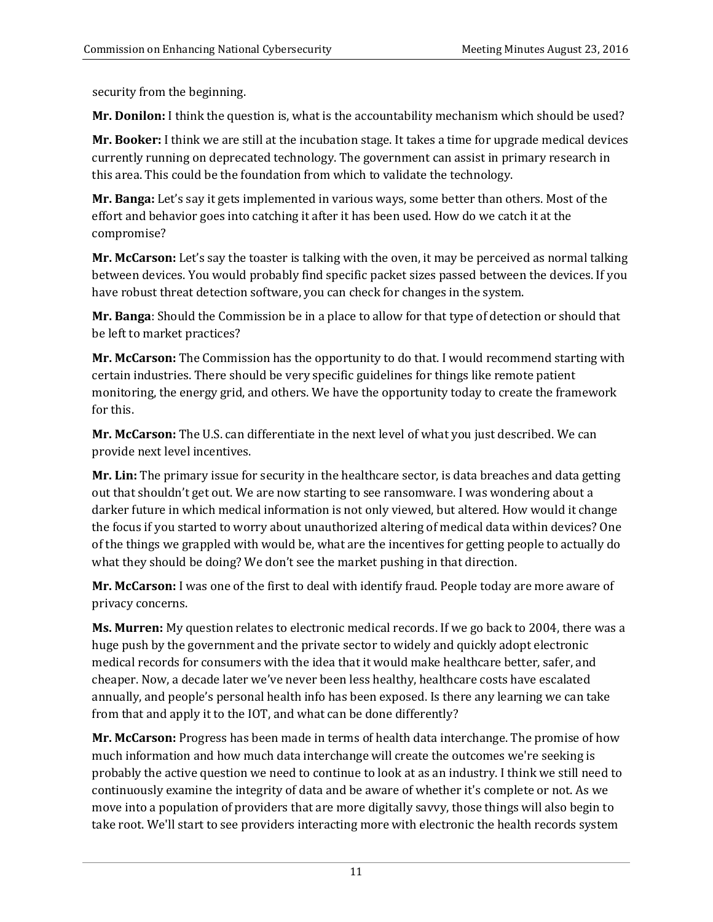security from the beginning.

**Mr. Donilon:** I think the question is, what is the accountability mechanism which should be used?

**Mr. Booker:** I think we are still at the incubation stage. It takes a time for upgrade medical devices currently running on deprecated technology. The government can assist in primary research in this area. This could be the foundation from which to validate the technology.

**Mr. Banga:** Let's say it gets implemented in various ways, some better than others. Most of the effort and behavior goes into catching it after it has been used. How do we catch it at the compromise?

**Mr. McCarson:** Let's say the toaster is talking with the oven, it may be perceived as normal talking between devices. You would probably find specific packet sizes passed between the devices. If you have robust threat detection software, you can check for changes in the system.

**Mr. Banga**: Should the Commission be in a place to allow for that type of detection or should that be left to market practices?

**Mr. McCarson:** The Commission has the opportunity to do that. I would recommend starting with certain industries. There should be very specific guidelines for things like remote patient monitoring, the energy grid, and others. We have the opportunity today to create the framework for this.

**Mr. McCarson:** The U.S. can differentiate in the next level of what you just described. We can provide next level incentives.

**Mr. Lin:** The primary issue for security in the healthcare sector, is data breaches and data getting out that shouldn't get out. We are now starting to see ransomware. I was wondering about a darker future in which medical information is not only viewed, but altered. How would it change the focus if you started to worry about unauthorized altering of medical data within devices? One of the things we grappled with would be, what are the incentives for getting people to actually do what they should be doing? We don't see the market pushing in that direction.

**Mr. McCarson:** I was one of the first to deal with identify fraud. People today are more aware of privacy concerns.

**Ms. Murren:** My question relates to electronic medical records. If we go back to 2004, there was a huge push by the government and the private sector to widely and quickly adopt electronic medical records for consumers with the idea that it would make healthcare better, safer, and cheaper. Now, a decade later we've never been less healthy, healthcare costs have escalated annually, and people's personal health info has been exposed. Is there any learning we can take from that and apply it to the IOT, and what can be done differently?

**Mr. McCarson:** Progress has been made in terms of health data interchange. The promise of how much information and how much data interchange will create the outcomes we're seeking is probably the active question we need to continue to look at as an industry. I think we still need to continuously examine the integrity of data and be aware of whether it's complete or not. As we move into a population of providers that are more digitally savvy, those things will also begin to take root. We'll start to see providers interacting more with electronic the health records system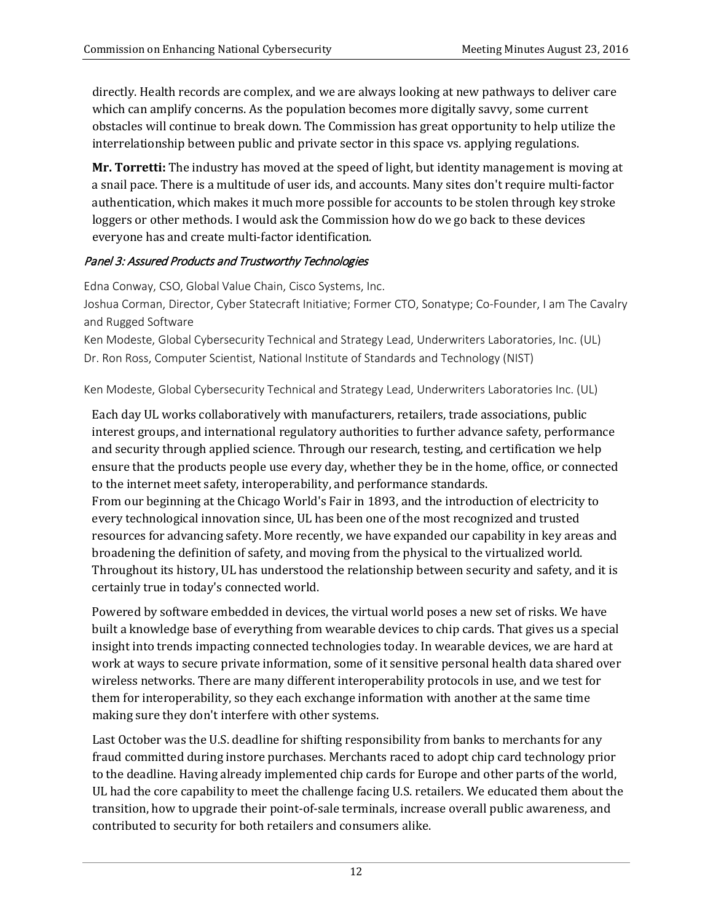directly. Health records are complex, and we are always looking at new pathways to deliver care which can amplify concerns. As the population becomes more digitally savvy, some current obstacles will continue to break down. The Commission has great opportunity to help utilize the interrelationship between public and private sector in this space vs. applying regulations.

**Mr. Torretti:** The industry has moved at the speed of light, but identity management is moving at a snail pace. There is a multitude of user ids, and accounts. Many sites don't require multi-factor authentication, which makes it much more possible for accounts to be stolen through key stroke loggers or other methods. I would ask the Commission how do we go back to these devices everyone has and create multi-factor identification.

## Panel 3: Assured Products and Trustworthy Technologies

Edna Conway, CSO, Global Value Chain, Cisco Systems, Inc.

Joshua Corman, Director, Cyber Statecraft Initiative; Former CTO, Sonatype; Co-Founder, I am The Cavalry and Rugged Software

Ken Modeste, Global Cybersecurity Technical and Strategy Lead, Underwriters Laboratories, Inc. (UL) Dr. Ron Ross, Computer Scientist, National Institute of Standards and Technology (NIST)

Ken Modeste, Global Cybersecurity Technical and Strategy Lead, Underwriters Laboratories Inc. (UL)

Each day UL works collaboratively with manufacturers, retailers, trade associations, public interest groups, and international regulatory authorities to further advance safety, performance and security through applied science. Through our research, testing, and certification we help ensure that the products people use every day, whether they be in the home, office, or connected to the internet meet safety, interoperability, and performance standards.

From our beginning at the Chicago World's Fair in 1893, and the introduction of electricity to every technological innovation since, UL has been one of the most recognized and trusted resources for advancing safety. More recently, we have expanded our capability in key areas and broadening the definition of safety, and moving from the physical to the virtualized world. Throughout its history, UL has understood the relationship between security and safety, and it is certainly true in today's connected world.

Powered by software embedded in devices, the virtual world poses a new set of risks. We have built a knowledge base of everything from wearable devices to chip cards. That gives us a special insight into trends impacting connected technologies today. In wearable devices, we are hard at work at ways to secure private information, some of it sensitive personal health data shared over wireless networks. There are many different interoperability protocols in use, and we test for them for interoperability, so they each exchange information with another at the same time making sure they don't interfere with other systems.

Last October was the U.S. deadline for shifting responsibility from banks to merchants for any fraud committed during instore purchases. Merchants raced to adopt chip card technology prior to the deadline. Having already implemented chip cards for Europe and other parts of the world, UL had the core capability to meet the challenge facing U.S. retailers. We educated them about the transition, how to upgrade their point-of-sale terminals, increase overall public awareness, and contributed to security for both retailers and consumers alike.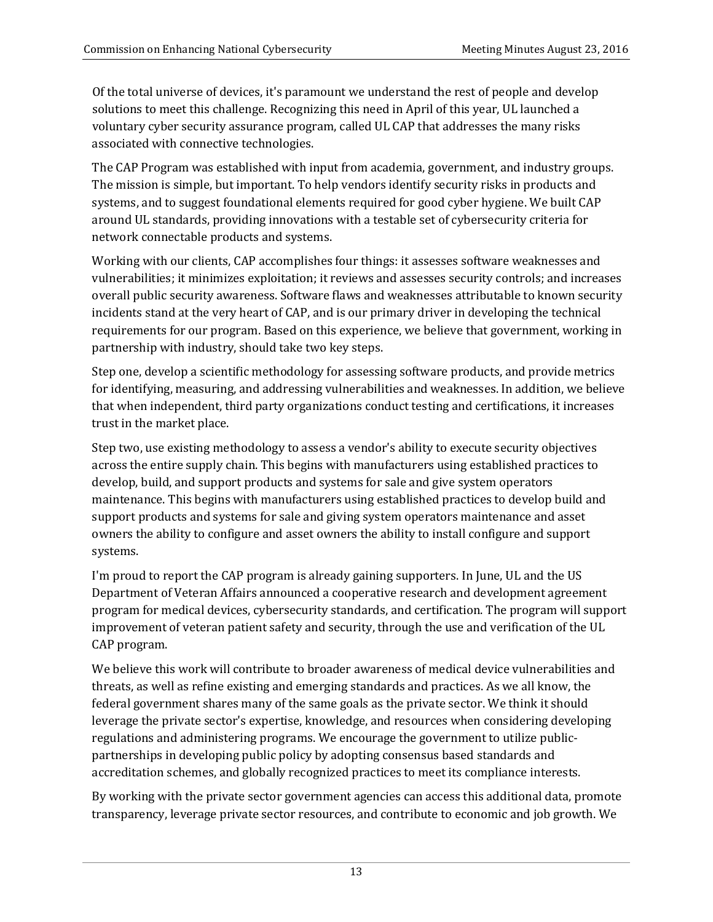Of the total universe of devices, it's paramount we understand the rest of people and develop solutions to meet this challenge. Recognizing this need in April of this year, UL launched a voluntary cyber security assurance program, called UL CAP that addresses the many risks associated with connective technologies.

The CAP Program was established with input from academia, government, and industry groups. The mission is simple, but important. To help vendors identify security risks in products and systems, and to suggest foundational elements required for good cyber hygiene. We built CAP around UL standards, providing innovations with a testable set of cybersecurity criteria for network connectable products and systems.

Working with our clients, CAP accomplishes four things: it assesses software weaknesses and vulnerabilities; it minimizes exploitation; it reviews and assesses security controls; and increases overall public security awareness. Software flaws and weaknesses attributable to known security incidents stand at the very heart of CAP, and is our primary driver in developing the technical requirements for our program. Based on this experience, we believe that government, working in partnership with industry, should take two key steps.

Step one, develop a scientific methodology for assessing software products, and provide metrics for identifying, measuring, and addressing vulnerabilities and weaknesses. In addition, we believe that when independent, third party organizations conduct testing and certifications, it increases trust in the market place.

Step two, use existing methodology to assess a vendor's ability to execute security objectives across the entire supply chain. This begins with manufacturers using established practices to develop, build, and support products and systems for sale and give system operators maintenance. This begins with manufacturers using established practices to develop build and support products and systems for sale and giving system operators maintenance and asset owners the ability to configure and asset owners the ability to install configure and support systems.

I'm proud to report the CAP program is already gaining supporters. In June, UL and the US Department of Veteran Affairs announced a cooperative research and development agreement program for medical devices, cybersecurity standards, and certification. The program will support improvement of veteran patient safety and security, through the use and verification of the UL CAP program.

We believe this work will contribute to broader awareness of medical device vulnerabilities and threats, as well as refine existing and emerging standards and practices. As we all know, the federal government shares many of the same goals as the private sector. We think it should leverage the private sector's expertise, knowledge, and resources when considering developing regulations and administering programs. We encourage the government to utilize publicpartnerships in developing public policy by adopting consensus based standards and accreditation schemes, and globally recognized practices to meet its compliance interests.

By working with the private sector government agencies can access this additional data, promote transparency, leverage private sector resources, and contribute to economic and job growth. We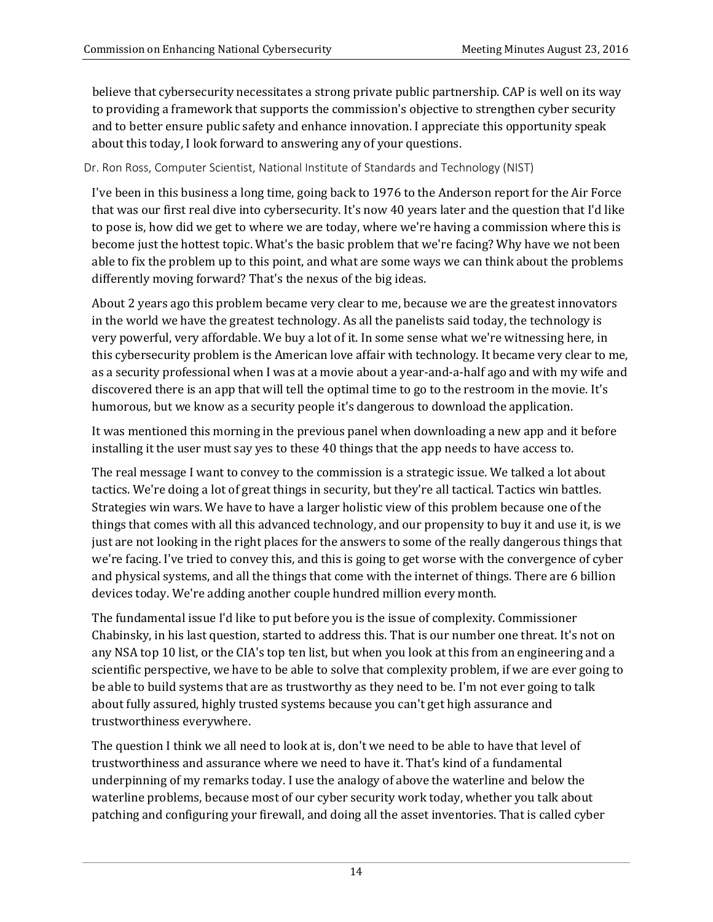believe that cybersecurity necessitates a strong private public partnership. CAP is well on its way to providing a framework that supports the commission's objective to strengthen cyber security and to better ensure public safety and enhance innovation. I appreciate this opportunity speak about this today, I look forward to answering any of your questions.

Dr. Ron Ross, Computer Scientist, National Institute of Standards and Technology (NIST)

I've been in this business a long time, going back to 1976 to the Anderson report for the Air Force that was our first real dive into cybersecurity. It's now 40 years later and the question that I'd like to pose is, how did we get to where we are today, where we're having a commission where this is become just the hottest topic. What's the basic problem that we're facing? Why have we not been able to fix the problem up to this point, and what are some ways we can think about the problems differently moving forward? That's the nexus of the big ideas.

About 2 years ago this problem became very clear to me, because we are the greatest innovators in the world we have the greatest technology. As all the panelists said today, the technology is very powerful, very affordable. We buy a lot of it. In some sense what we're witnessing here, in this cybersecurity problem is the American love affair with technology. It became very clear to me, as a security professional when I was at a movie about a year-and-a-half ago and with my wife and discovered there is an app that will tell the optimal time to go to the restroom in the movie. It's humorous, but we know as a security people it's dangerous to download the application.

It was mentioned this morning in the previous panel when downloading a new app and it before installing it the user must say yes to these 40 things that the app needs to have access to.

The real message I want to convey to the commission is a strategic issue. We talked a lot about tactics. We're doing a lot of great things in security, but they're all tactical. Tactics win battles. Strategies win wars. We have to have a larger holistic view of this problem because one of the things that comes with all this advanced technology, and our propensity to buy it and use it, is we just are not looking in the right places for the answers to some of the really dangerous things that we're facing. I've tried to convey this, and this is going to get worse with the convergence of cyber and physical systems, and all the things that come with the internet of things. There are 6 billion devices today. We're adding another couple hundred million every month.

The fundamental issue I'd like to put before you is the issue of complexity. Commissioner Chabinsky, in his last question, started to address this. That is our number one threat. It's not on any NSA top 10 list, or the CIA's top ten list, but when you look at this from an engineering and a scientific perspective, we have to be able to solve that complexity problem, if we are ever going to be able to build systems that are as trustworthy as they need to be. I'm not ever going to talk about fully assured, highly trusted systems because you can't get high assurance and trustworthiness everywhere.

The question I think we all need to look at is, don't we need to be able to have that level of trustworthiness and assurance where we need to have it. That's kind of a fundamental underpinning of my remarks today. I use the analogy of above the waterline and below the waterline problems, because most of our cyber security work today, whether you talk about patching and configuring your firewall, and doing all the asset inventories. That is called cyber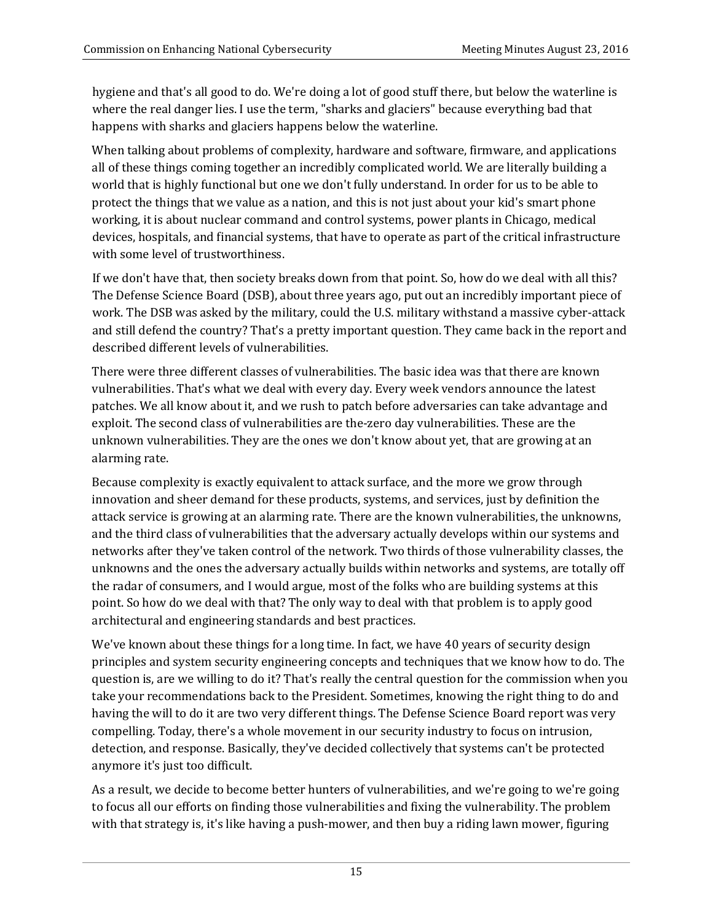hygiene and that's all good to do. We're doing a lot of good stuff there, but below the waterline is where the real danger lies. I use the term, "sharks and glaciers" because everything bad that happens with sharks and glaciers happens below the waterline.

When talking about problems of complexity, hardware and software, firmware, and applications all of these things coming together an incredibly complicated world. We are literally building a world that is highly functional but one we don't fully understand. In order for us to be able to protect the things that we value as a nation, and this is not just about your kid's smart phone working, it is about nuclear command and control systems, power plants in Chicago, medical devices, hospitals, and financial systems, that have to operate as part of the critical infrastructure with some level of trustworthiness.

If we don't have that, then society breaks down from that point. So, how do we deal with all this? The Defense Science Board (DSB), about three years ago, put out an incredibly important piece of work. The DSB was asked by the military, could the U.S. military withstand a massive cyber-attack and still defend the country? That's a pretty important question. They came back in the report and described different levels of vulnerabilities.

There were three different classes of vulnerabilities. The basic idea was that there are known vulnerabilities. That's what we deal with every day. Every week vendors announce the latest patches. We all know about it, and we rush to patch before adversaries can take advantage and exploit. The second class of vulnerabilities are the-zero day vulnerabilities. These are the unknown vulnerabilities. They are the ones we don't know about yet, that are growing at an alarming rate.

Because complexity is exactly equivalent to attack surface, and the more we grow through innovation and sheer demand for these products, systems, and services, just by definition the attack service is growing at an alarming rate. There are the known vulnerabilities, the unknowns, and the third class of vulnerabilities that the adversary actually develops within our systems and networks after they've taken control of the network. Two thirds of those vulnerability classes, the unknowns and the ones the adversary actually builds within networks and systems, are totally off the radar of consumers, and I would argue, most of the folks who are building systems at this point. So how do we deal with that? The only way to deal with that problem is to apply good architectural and engineering standards and best practices.

We've known about these things for a long time. In fact, we have 40 years of security design principles and system security engineering concepts and techniques that we know how to do. The question is, are we willing to do it? That's really the central question for the commission when you take your recommendations back to the President. Sometimes, knowing the right thing to do and having the will to do it are two very different things. The Defense Science Board report was very compelling. Today, there's a whole movement in our security industry to focus on intrusion, detection, and response. Basically, they've decided collectively that systems can't be protected anymore it's just too difficult.

As a result, we decide to become better hunters of vulnerabilities, and we're going to we're going to focus all our efforts on finding those vulnerabilities and fixing the vulnerability. The problem with that strategy is, it's like having a push-mower, and then buy a riding lawn mower, figuring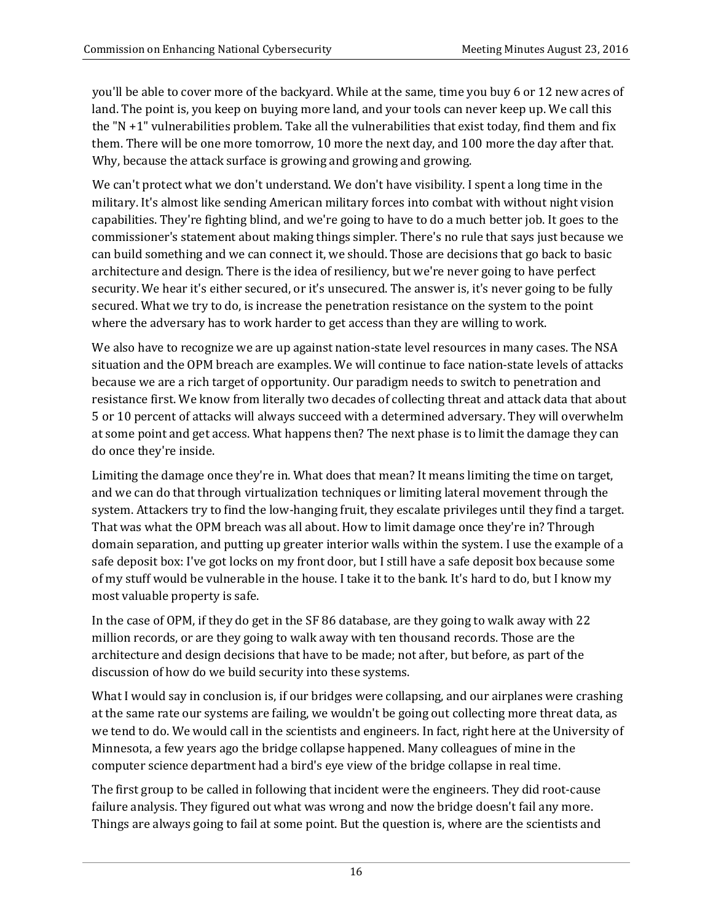you'll be able to cover more of the backyard. While at the same, time you buy 6 or 12 new acres of land. The point is, you keep on buying more land, and your tools can never keep up. We call this the "N +1" vulnerabilities problem. Take all the vulnerabilities that exist today, find them and fix them. There will be one more tomorrow, 10 more the next day, and 100 more the day after that. Why, because the attack surface is growing and growing and growing.

We can't protect what we don't understand. We don't have visibility. I spent a long time in the military. It's almost like sending American military forces into combat with without night vision capabilities. They're fighting blind, and we're going to have to do a much better job. It goes to the commissioner's statement about making things simpler. There's no rule that says just because we can build something and we can connect it, we should. Those are decisions that go back to basic architecture and design. There is the idea of resiliency, but we're never going to have perfect security. We hear it's either secured, or it's unsecured. The answer is, it's never going to be fully secured. What we try to do, is increase the penetration resistance on the system to the point where the adversary has to work harder to get access than they are willing to work.

We also have to recognize we are up against nation-state level resources in many cases. The NSA situation and the OPM breach are examples. We will continue to face nation-state levels of attacks because we are a rich target of opportunity. Our paradigm needs to switch to penetration and resistance first. We know from literally two decades of collecting threat and attack data that about 5 or 10 percent of attacks will always succeed with a determined adversary. They will overwhelm at some point and get access. What happens then? The next phase is to limit the damage they can do once they're inside.

Limiting the damage once they're in. What does that mean? It means limiting the time on target, and we can do that through virtualization techniques or limiting lateral movement through the system. Attackers try to find the low-hanging fruit, they escalate privileges until they find a target. That was what the OPM breach was all about. How to limit damage once they're in? Through domain separation, and putting up greater interior walls within the system. I use the example of a safe deposit box: I've got locks on my front door, but I still have a safe deposit box because some of my stuff would be vulnerable in the house. I take it to the bank. It's hard to do, but I know my most valuable property is safe.

In the case of OPM, if they do get in the SF 86 database, are they going to walk away with 22 million records, or are they going to walk away with ten thousand records. Those are the architecture and design decisions that have to be made; not after, but before, as part of the discussion of how do we build security into these systems.

What I would say in conclusion is, if our bridges were collapsing, and our airplanes were crashing at the same rate our systems are failing, we wouldn't be going out collecting more threat data, as we tend to do. We would call in the scientists and engineers. In fact, right here at the University of Minnesota, a few years ago the bridge collapse happened. Many colleagues of mine in the computer science department had a bird's eye view of the bridge collapse in real time.

The first group to be called in following that incident were the engineers. They did root-cause failure analysis. They figured out what was wrong and now the bridge doesn't fail any more. Things are always going to fail at some point. But the question is, where are the scientists and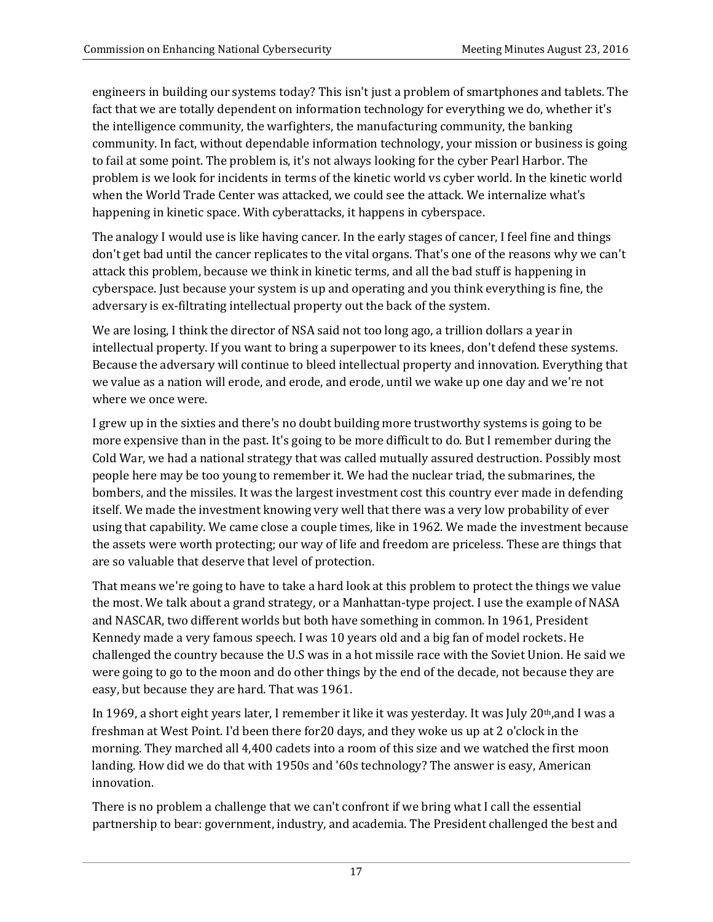engineers in building our systems today? This isn't just a problem of smartphones and tablets. The fact that we are totally dependent on information technology for everything we do, whether it's the intelligence community, the warfighters, the manufacturing community, the banking community. In fact, without dependable information technology, your mission or business is going to fail at some point. The problem is, it's not always looking for the cyber Pearl Harbor. The problem is we look for incidents in terms of the kinetic world vs cyber world. In the kinetic world when the World Trade Center was attacked, we could see the attack. We internalize what's happening in kinetic space. With cyberattacks, it happens in cyberspace.

The analogy I would use is like having cancer. In the early stages of cancer, I feel fine and things don't get bad until the cancer replicates to the vital organs. That's one of the reasons why we can't attack this problem, because we think in kinetic terms, and all the bad stuff is happening in cyberspace. Just because your system is up and operating and you think everything is fine, the adversary is ex-filtrating intellectual property out the back of the system.

We are losing, I think the director of NSA said not too long ago, a trillion dollars a year in intellectual property. If you want to bring a superpower to its knees, don't defend these systems. Because the adversary will continue to bleed intellectual property and innovation. Everything that we value as a nation will erode, and erode, and erode, until we wake up one day and we're not where we once were.

I grew up in the sixties and there's no doubt building more trustworthy systems is going to be more expensive than in the past. It's going to be more difficult to do. But I remember during the Cold War, we had a national strategy that was called mutually assured destruction. Possibly most people here may be too young to remember it. We had the nuclear triad, the submarines, the bombers, and the missiles. It was the largest investment cost this country ever made in defending itself. We made the investment knowing very well that there was a very low probability of ever using that capability. We came close a couple times, like in 1962. We made the investment because the assets were worth protecting; our way of life and freedom are priceless. These are things that are so valuable that deserve that level of protection.

That means we're going to have to take a hard look at this problem to protect the things we value the most. We talk about a grand strategy, or a Manhattan-type project. I use the example of NASA and NASCAR, two different worlds but both have something in common. In 1961, President Kennedy made a very famous speech. I was 10 years old and a big fan of model rockets. He challenged the country because the U.S was in a hot missile race with the Soviet Union. He said we were going to go to the moon and do other things by the end of the decade, not because they are easy, but because they are hard. That was 1961.

In 1969, a short eight years later, I remember it like it was yesterday. It was July 20<sup>th</sup>,and I was a freshman at West Point. I'd been there for20 days, and they woke us up at 2 o'clock in the morning. They marched all 4,400 cadets into a room of this size and we watched the first moon landing. How did we do that with 1950s and '60s technology? The answer is easy, American innovation.

There is no problem a challenge that we can't confront if we bring what I call the essential partnership to bear: government, industry, and academia. The President challenged the best and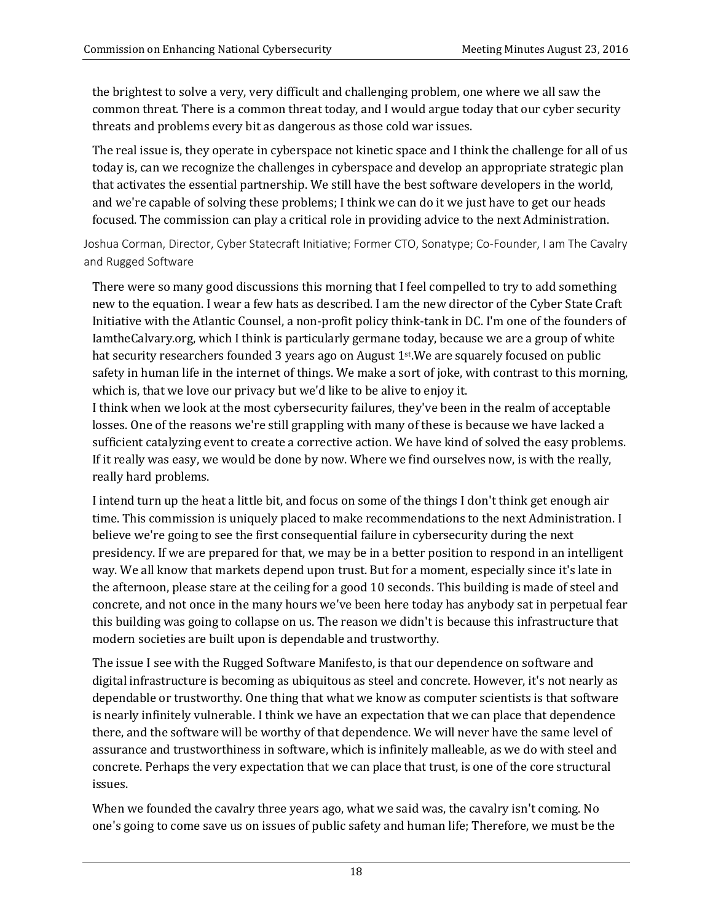the brightest to solve a very, very difficult and challenging problem, one where we all saw the common threat. There is a common threat today, and I would argue today that our cyber security threats and problems every bit as dangerous as those cold war issues.

The real issue is, they operate in cyberspace not kinetic space and I think the challenge for all of us today is, can we recognize the challenges in cyberspace and develop an appropriate strategic plan that activates the essential partnership. We still have the best software developers in the world, and we're capable of solving these problems; I think we can do it we just have to get our heads focused. The commission can play a critical role in providing advice to the next Administration.

Joshua Corman, Director, Cyber Statecraft Initiative; Former CTO, Sonatype; Co-Founder, I am The Cavalry and Rugged Software

There were so many good discussions this morning that I feel compelled to try to add something new to the equation. I wear a few hats as described. I am the new director of the Cyber State Craft Initiative with the Atlantic Counsel, a non-profit policy think-tank in DC. I'm one of the founders of IamtheCalvary.org, which I think is particularly germane today, because we are a group of white hat security researchers founded 3 years ago on August  $1<sup>st</sup>$ .We are squarely focused on public safety in human life in the internet of things. We make a sort of joke, with contrast to this morning, which is, that we love our privacy but we'd like to be alive to enjoy it.

I think when we look at the most cybersecurity failures, they've been in the realm of acceptable losses. One of the reasons we're still grappling with many of these is because we have lacked a sufficient catalyzing event to create a corrective action. We have kind of solved the easy problems. If it really was easy, we would be done by now. Where we find ourselves now, is with the really, really hard problems.

I intend turn up the heat a little bit, and focus on some of the things I don't think get enough air time. This commission is uniquely placed to make recommendations to the next Administration. I believe we're going to see the first consequential failure in cybersecurity during the next presidency. If we are prepared for that, we may be in a better position to respond in an intelligent way. We all know that markets depend upon trust. But for a moment, especially since it's late in the afternoon, please stare at the ceiling for a good 10 seconds. This building is made of steel and concrete, and not once in the many hours we've been here today has anybody sat in perpetual fear this building was going to collapse on us. The reason we didn't is because this infrastructure that modern societies are built upon is dependable and trustworthy.

The issue I see with the Rugged Software Manifesto, is that our dependence on software and digital infrastructure is becoming as ubiquitous as steel and concrete. However, it's not nearly as dependable or trustworthy. One thing that what we know as computer scientists is that software is nearly infinitely vulnerable. I think we have an expectation that we can place that dependence there, and the software will be worthy of that dependence. We will never have the same level of assurance and trustworthiness in software, which is infinitely malleable, as we do with steel and concrete. Perhaps the very expectation that we can place that trust, is one of the core structural issues.

When we founded the cavalry three years ago, what we said was, the cavalry isn't coming. No one's going to come save us on issues of public safety and human life; Therefore, we must be the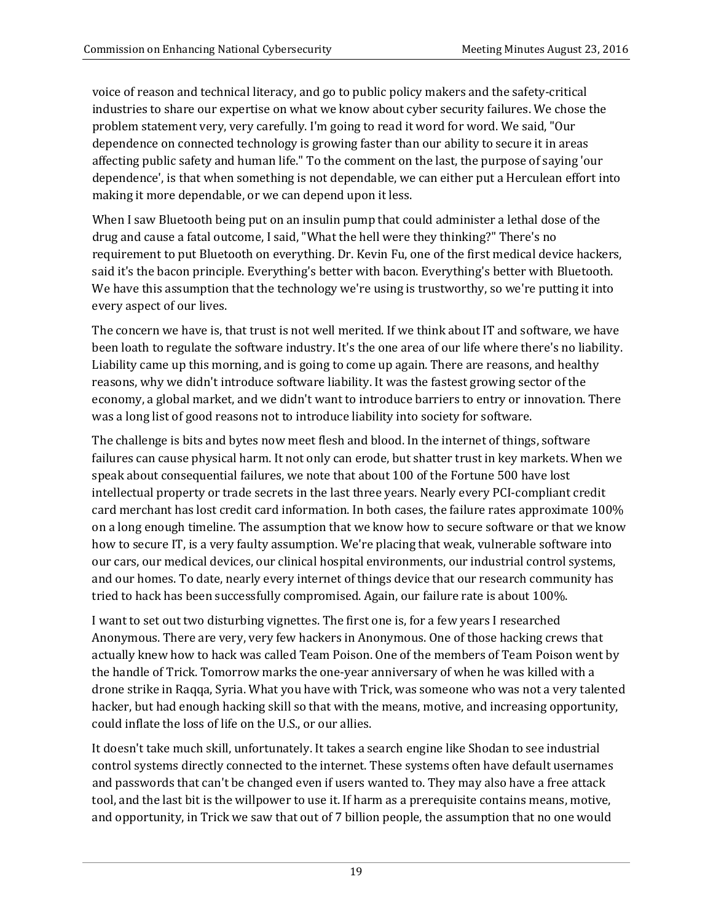voice of reason and technical literacy, and go to public policy makers and the safety-critical industries to share our expertise on what we know about cyber security failures. We chose the problem statement very, very carefully. I'm going to read it word for word. We said, "Our dependence on connected technology is growing faster than our ability to secure it in areas affecting public safety and human life." To the comment on the last, the purpose of saying 'our dependence', is that when something is not dependable, we can either put a Herculean effort into making it more dependable, or we can depend upon it less.

When I saw Bluetooth being put on an insulin pump that could administer a lethal dose of the drug and cause a fatal outcome, I said, "What the hell were they thinking?" There's no requirement to put Bluetooth on everything. Dr. Kevin Fu, one of the first medical device hackers, said it's the bacon principle. Everything's better with bacon. Everything's better with Bluetooth. We have this assumption that the technology we're using is trustworthy, so we're putting it into every aspect of our lives.

The concern we have is, that trust is not well merited. If we think about IT and software, we have been loath to regulate the software industry. It's the one area of our life where there's no liability. Liability came up this morning, and is going to come up again. There are reasons, and healthy reasons, why we didn't introduce software liability. It was the fastest growing sector of the economy, a global market, and we didn't want to introduce barriers to entry or innovation. There was a long list of good reasons not to introduce liability into society for software.

The challenge is bits and bytes now meet flesh and blood. In the internet of things, software failures can cause physical harm. It not only can erode, but shatter trust in key markets. When we speak about consequential failures, we note that about 100 of the Fortune 500 have lost intellectual property or trade secrets in the last three years. Nearly every PCI-compliant credit card merchant has lost credit card information. In both cases, the failure rates approximate 100% on a long enough timeline. The assumption that we know how to secure software or that we know how to secure IT, is a very faulty assumption. We're placing that weak, vulnerable software into our cars, our medical devices, our clinical hospital environments, our industrial control systems, and our homes. To date, nearly every internet of things device that our research community has tried to hack has been successfully compromised. Again, our failure rate is about 100%.

I want to set out two disturbing vignettes. The first one is, for a few years I researched Anonymous. There are very, very few hackers in Anonymous. One of those hacking crews that actually knew how to hack was called Team Poison. One of the members of Team Poison went by the handle of Trick. Tomorrow marks the one-year anniversary of when he was killed with a drone strike in Raqqa, Syria. What you have with Trick, was someone who was not a very talented hacker, but had enough hacking skill so that with the means, motive, and increasing opportunity, could inflate the loss of life on the U.S., or our allies.

It doesn't take much skill, unfortunately. It takes a search engine like Shodan to see industrial control systems directly connected to the internet. These systems often have default usernames and passwords that can't be changed even if users wanted to. They may also have a free attack tool, and the last bit is the willpower to use it. If harm as a prerequisite contains means, motive, and opportunity, in Trick we saw that out of 7 billion people, the assumption that no one would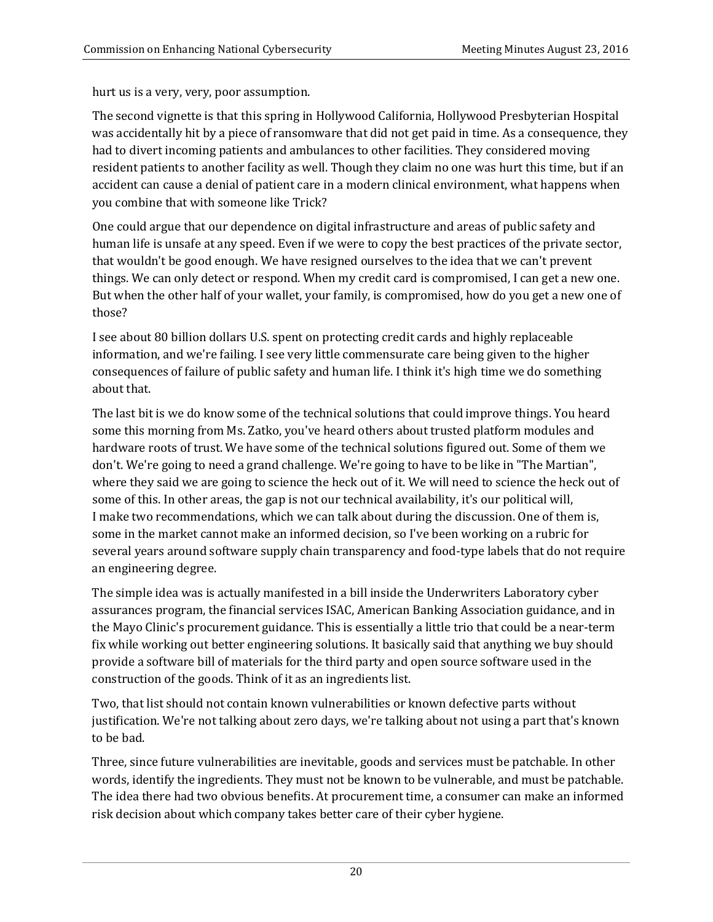hurt us is a very, very, poor assumption.

The second vignette is that this spring in Hollywood California, Hollywood Presbyterian Hospital was accidentally hit by a piece of ransomware that did not get paid in time. As a consequence, they had to divert incoming patients and ambulances to other facilities. They considered moving resident patients to another facility as well. Though they claim no one was hurt this time, but if an accident can cause a denial of patient care in a modern clinical environment, what happens when you combine that with someone like Trick?

One could argue that our dependence on digital infrastructure and areas of public safety and human life is unsafe at any speed. Even if we were to copy the best practices of the private sector, that wouldn't be good enough. We have resigned ourselves to the idea that we can't prevent things. We can only detect or respond. When my credit card is compromised, I can get a new one. But when the other half of your wallet, your family, is compromised, how do you get a new one of those?

I see about 80 billion dollars U.S. spent on protecting credit cards and highly replaceable information, and we're failing. I see very little commensurate care being given to the higher consequences of failure of public safety and human life. I think it's high time we do something about that.

The last bit is we do know some of the technical solutions that could improve things. You heard some this morning from Ms. Zatko, you've heard others about trusted platform modules and hardware roots of trust. We have some of the technical solutions figured out. Some of them we don't. We're going to need a grand challenge. We're going to have to be like in "The Martian", where they said we are going to science the heck out of it. We will need to science the heck out of some of this. In other areas, the gap is not our technical availability, it's our political will, I make two recommendations, which we can talk about during the discussion. One of them is, some in the market cannot make an informed decision, so I've been working on a rubric for several years around software supply chain transparency and food-type labels that do not require an engineering degree.

The simple idea was is actually manifested in a bill inside the Underwriters Laboratory cyber assurances program, the financial services ISAC, American Banking Association guidance, and in the Mayo Clinic's procurement guidance. This is essentially a little trio that could be a near-term fix while working out better engineering solutions. It basically said that anything we buy should provide a software bill of materials for the third party and open source software used in the construction of the goods. Think of it as an ingredients list.

Two, that list should not contain known vulnerabilities or known defective parts without justification. We're not talking about zero days, we're talking about not using a part that's known to be bad.

Three, since future vulnerabilities are inevitable, goods and services must be patchable. In other words, identify the ingredients. They must not be known to be vulnerable, and must be patchable. The idea there had two obvious benefits. At procurement time, a consumer can make an informed risk decision about which company takes better care of their cyber hygiene.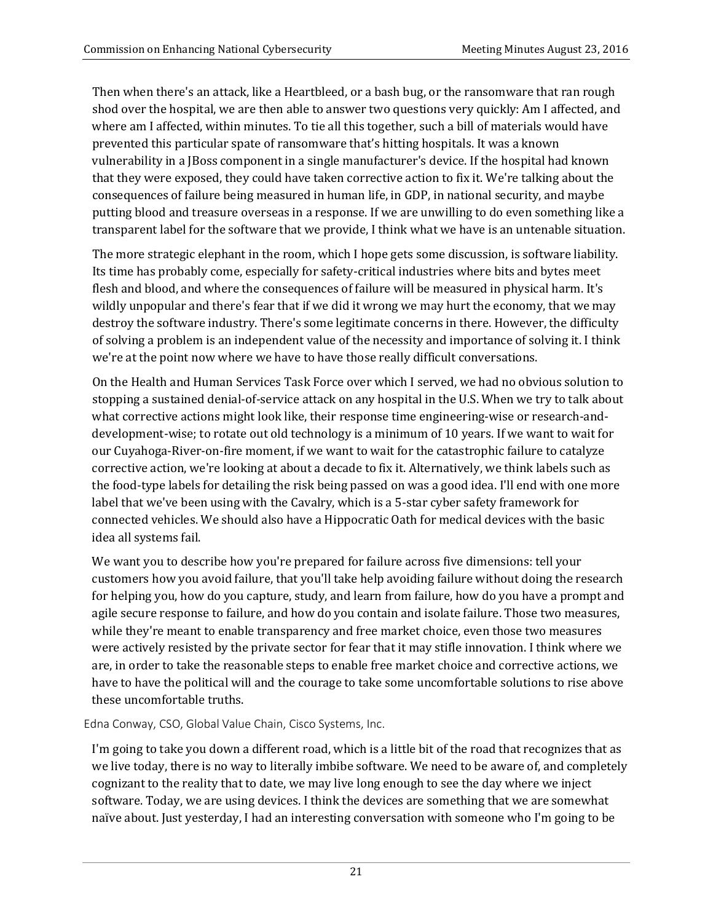Then when there's an attack, like a Heartbleed, or a bash bug, or the ransomware that ran rough shod over the hospital, we are then able to answer two questions very quickly: Am I affected, and where am I affected, within minutes. To tie all this together, such a bill of materials would have prevented this particular spate of ransomware that's hitting hospitals. It was a known vulnerability in a JBoss component in a single manufacturer's device. If the hospital had known that they were exposed, they could have taken corrective action to fix it. We're talking about the consequences of failure being measured in human life, in GDP, in national security, and maybe putting blood and treasure overseas in a response. If we are unwilling to do even something like a transparent label for the software that we provide, I think what we have is an untenable situation.

The more strategic elephant in the room, which I hope gets some discussion, is software liability. Its time has probably come, especially for safety-critical industries where bits and bytes meet flesh and blood, and where the consequences of failure will be measured in physical harm. It's wildly unpopular and there's fear that if we did it wrong we may hurt the economy, that we may destroy the software industry. There's some legitimate concerns in there. However, the difficulty of solving a problem is an independent value of the necessity and importance of solving it. I think we're at the point now where we have to have those really difficult conversations.

On the Health and Human Services Task Force over which I served, we had no obvious solution to stopping a sustained denial-of-service attack on any hospital in the U.S. When we try to talk about what corrective actions might look like, their response time engineering-wise or research-anddevelopment-wise; to rotate out old technology is a minimum of 10 years. If we want to wait for our Cuyahoga-River-on-fire moment, if we want to wait for the catastrophic failure to catalyze corrective action, we're looking at about a decade to fix it. Alternatively, we think labels such as the food-type labels for detailing the risk being passed on was a good idea. I'll end with one more label that we've been using with the Cavalry, which is a 5-star cyber safety framework for connected vehicles. We should also have a Hippocratic Oath for medical devices with the basic idea all systems fail.

We want you to describe how you're prepared for failure across five dimensions: tell your customers how you avoid failure, that you'll take help avoiding failure without doing the research for helping you, how do you capture, study, and learn from failure, how do you have a prompt and agile secure response to failure, and how do you contain and isolate failure. Those two measures, while they're meant to enable transparency and free market choice, even those two measures were actively resisted by the private sector for fear that it may stifle innovation. I think where we are, in order to take the reasonable steps to enable free market choice and corrective actions, we have to have the political will and the courage to take some uncomfortable solutions to rise above these uncomfortable truths.

Edna Conway, CSO, Global Value Chain, Cisco Systems, Inc.

I'm going to take you down a different road, which is a little bit of the road that recognizes that as we live today, there is no way to literally imbibe software. We need to be aware of, and completely cognizant to the reality that to date, we may live long enough to see the day where we inject software. Today, we are using devices. I think the devices are something that we are somewhat naïve about. Just yesterday, I had an interesting conversation with someone who I'm going to be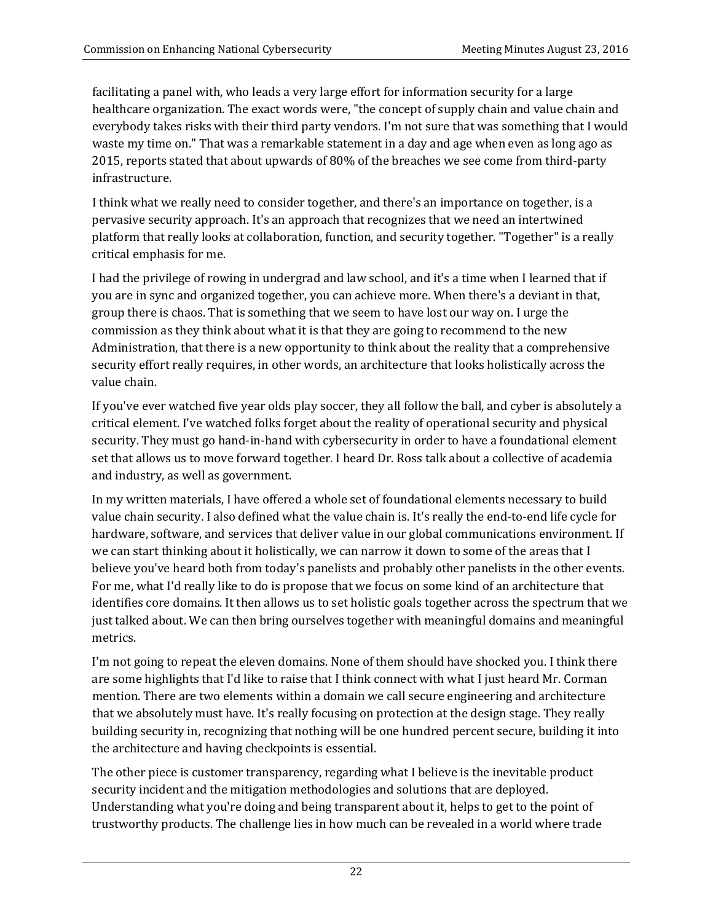facilitating a panel with, who leads a very large effort for information security for a large healthcare organization. The exact words were, "the concept of supply chain and value chain and everybody takes risks with their third party vendors. I'm not sure that was something that I would waste my time on." That was a remarkable statement in a day and age when even as long ago as 2015, reports stated that about upwards of 80% of the breaches we see come from third-party infrastructure.

I think what we really need to consider together, and there's an importance on together, is a pervasive security approach. It's an approach that recognizes that we need an intertwined platform that really looks at collaboration, function, and security together. "Together" is a really critical emphasis for me.

I had the privilege of rowing in undergrad and law school, and it's a time when I learned that if you are in sync and organized together, you can achieve more. When there's a deviant in that, group there is chaos. That is something that we seem to have lost our way on. I urge the commission as they think about what it is that they are going to recommend to the new Administration, that there is a new opportunity to think about the reality that a comprehensive security effort really requires, in other words, an architecture that looks holistically across the value chain.

If you've ever watched five year olds play soccer, they all follow the ball, and cyber is absolutely a critical element. I've watched folks forget about the reality of operational security and physical security. They must go hand-in-hand with cybersecurity in order to have a foundational element set that allows us to move forward together. I heard Dr. Ross talk about a collective of academia and industry, as well as government.

In my written materials, I have offered a whole set of foundational elements necessary to build value chain security. I also defined what the value chain is. It's really the end-to-end life cycle for hardware, software, and services that deliver value in our global communications environment. If we can start thinking about it holistically, we can narrow it down to some of the areas that I believe you've heard both from today's panelists and probably other panelists in the other events. For me, what I'd really like to do is propose that we focus on some kind of an architecture that identifies core domains. It then allows us to set holistic goals together across the spectrum that we just talked about. We can then bring ourselves together with meaningful domains and meaningful metrics.

I'm not going to repeat the eleven domains. None of them should have shocked you. I think there are some highlights that I'd like to raise that I think connect with what I just heard Mr. Corman mention. There are two elements within a domain we call secure engineering and architecture that we absolutely must have. It's really focusing on protection at the design stage. They really building security in, recognizing that nothing will be one hundred percent secure, building it into the architecture and having checkpoints is essential.

The other piece is customer transparency, regarding what I believe is the inevitable product security incident and the mitigation methodologies and solutions that are deployed. Understanding what you're doing and being transparent about it, helps to get to the point of trustworthy products. The challenge lies in how much can be revealed in a world where trade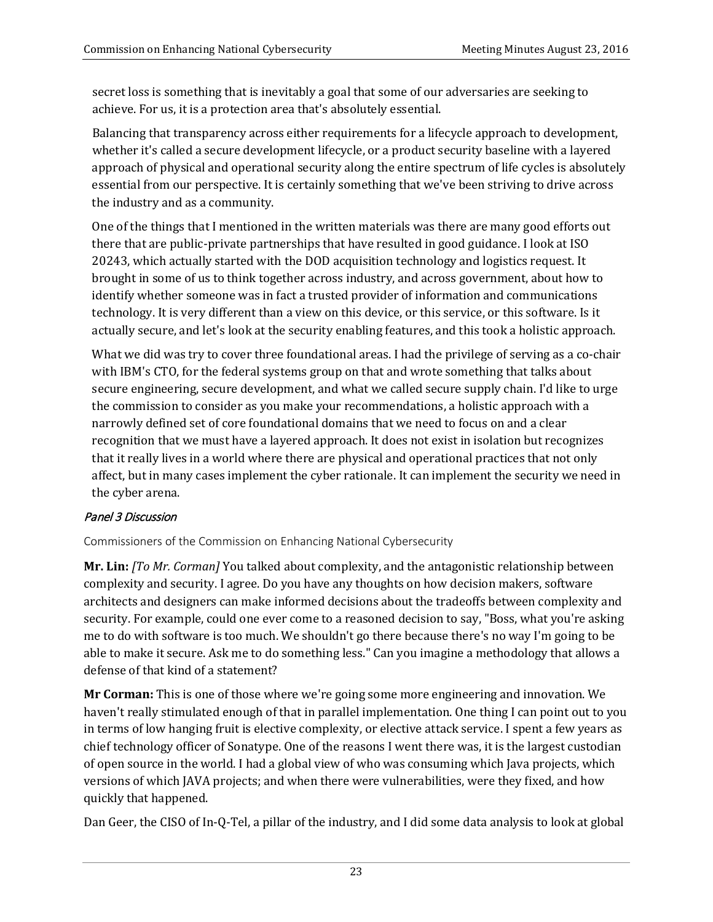secret loss is something that is inevitably a goal that some of our adversaries are seeking to achieve. For us, it is a protection area that's absolutely essential.

Balancing that transparency across either requirements for a lifecycle approach to development, whether it's called a secure development lifecycle, or a product security baseline with a layered approach of physical and operational security along the entire spectrum of life cycles is absolutely essential from our perspective. It is certainly something that we've been striving to drive across the industry and as a community.

One of the things that I mentioned in the written materials was there are many good efforts out there that are public-private partnerships that have resulted in good guidance. I look at ISO 20243, which actually started with the DOD acquisition technology and logistics request. It brought in some of us to think together across industry, and across government, about how to identify whether someone was in fact a trusted provider of information and communications technology. It is very different than a view on this device, or this service, or this software. Is it actually secure, and let's look at the security enabling features, and this took a holistic approach.

What we did was try to cover three foundational areas. I had the privilege of serving as a co-chair with IBM's CTO, for the federal systems group on that and wrote something that talks about secure engineering, secure development, and what we called secure supply chain. I'd like to urge the commission to consider as you make your recommendations, a holistic approach with a narrowly defined set of core foundational domains that we need to focus on and a clear recognition that we must have a layered approach. It does not exist in isolation but recognizes that it really lives in a world where there are physical and operational practices that not only affect, but in many cases implement the cyber rationale. It can implement the security we need in the cyber arena.

## Panel 3 Discussion

Commissioners of the Commission on Enhancing National Cybersecurity

**Mr. Lin:** *[To Mr. Corman]* You talked about complexity, and the antagonistic relationship between complexity and security. I agree. Do you have any thoughts on how decision makers, software architects and designers can make informed decisions about the tradeoffs between complexity and security. For example, could one ever come to a reasoned decision to say, "Boss, what you're asking me to do with software is too much. We shouldn't go there because there's no way I'm going to be able to make it secure. Ask me to do something less." Can you imagine a methodology that allows a defense of that kind of a statement?

**Mr Corman:** This is one of those where we're going some more engineering and innovation. We haven't really stimulated enough of that in parallel implementation. One thing I can point out to you in terms of low hanging fruit is elective complexity, or elective attack service. I spent a few years as chief technology officer of Sonatype. One of the reasons I went there was, it is the largest custodian of open source in the world. I had a global view of who was consuming which Java projects, which versions of which JAVA projects; and when there were vulnerabilities, were they fixed, and how quickly that happened.

Dan Geer, the CISO of In-Q-Tel, a pillar of the industry, and I did some data analysis to look at global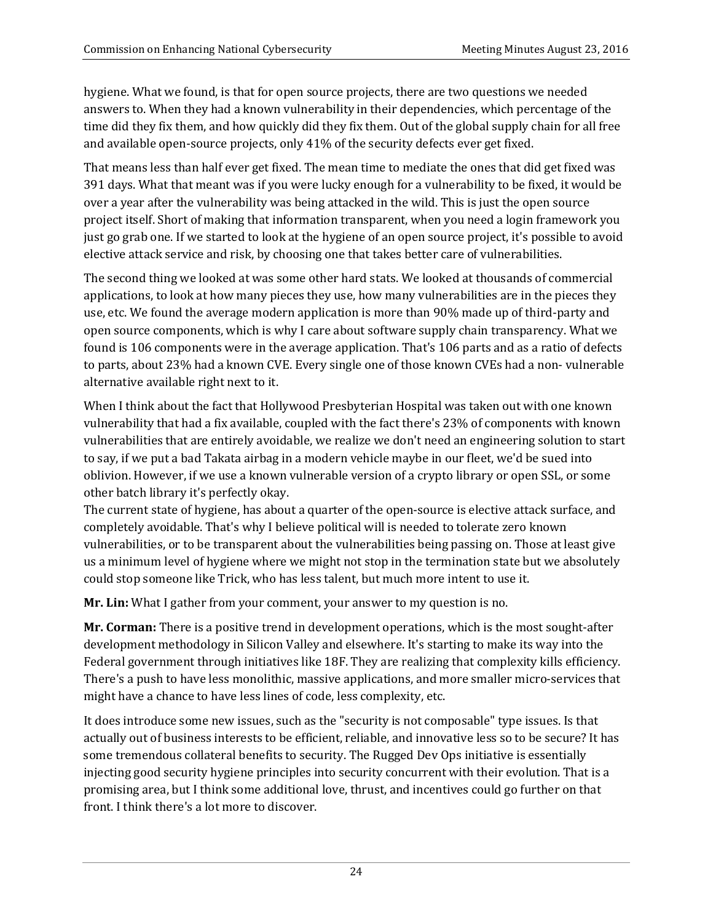hygiene. What we found, is that for open source projects, there are two questions we needed answers to. When they had a known vulnerability in their dependencies, which percentage of the time did they fix them, and how quickly did they fix them. Out of the global supply chain for all free and available open-source projects, only 41% of the security defects ever get fixed.

That means less than half ever get fixed. The mean time to mediate the ones that did get fixed was 391 days. What that meant was if you were lucky enough for a vulnerability to be fixed, it would be over a year after the vulnerability was being attacked in the wild. This is just the open source project itself. Short of making that information transparent, when you need a login framework you just go grab one. If we started to look at the hygiene of an open source project, it's possible to avoid elective attack service and risk, by choosing one that takes better care of vulnerabilities.

The second thing we looked at was some other hard stats. We looked at thousands of commercial applications, to look at how many pieces they use, how many vulnerabilities are in the pieces they use, etc. We found the average modern application is more than 90% made up of third-party and open source components, which is why I care about software supply chain transparency. What we found is 106 components were in the average application. That's 106 parts and as a ratio of defects to parts, about 23% had a known CVE. Every single one of those known CVEs had a non- vulnerable alternative available right next to it.

When I think about the fact that Hollywood Presbyterian Hospital was taken out with one known vulnerability that had a fix available, coupled with the fact there's 23% of components with known vulnerabilities that are entirely avoidable, we realize we don't need an engineering solution to start to say, if we put a bad Takata airbag in a modern vehicle maybe in our fleet, we'd be sued into oblivion. However, if we use a known vulnerable version of a crypto library or open SSL, or some other batch library it's perfectly okay.

The current state of hygiene, has about a quarter of the open-source is elective attack surface, and completely avoidable. That's why I believe political will is needed to tolerate zero known vulnerabilities, or to be transparent about the vulnerabilities being passing on. Those at least give us a minimum level of hygiene where we might not stop in the termination state but we absolutely could stop someone like Trick, who has less talent, but much more intent to use it.

**Mr. Lin:** What I gather from your comment, your answer to my question is no.

**Mr. Corman:** There is a positive trend in development operations, which is the most sought-after development methodology in Silicon Valley and elsewhere. It's starting to make its way into the Federal government through initiatives like 18F. They are realizing that complexity kills efficiency. There's a push to have less monolithic, massive applications, and more smaller micro-services that might have a chance to have less lines of code, less complexity, etc.

It does introduce some new issues, such as the "security is not composable" type issues. Is that actually out of business interests to be efficient, reliable, and innovative less so to be secure? It has some tremendous collateral benefits to security. The Rugged Dev Ops initiative is essentially injecting good security hygiene principles into security concurrent with their evolution. That is a promising area, but I think some additional love, thrust, and incentives could go further on that front. I think there's a lot more to discover.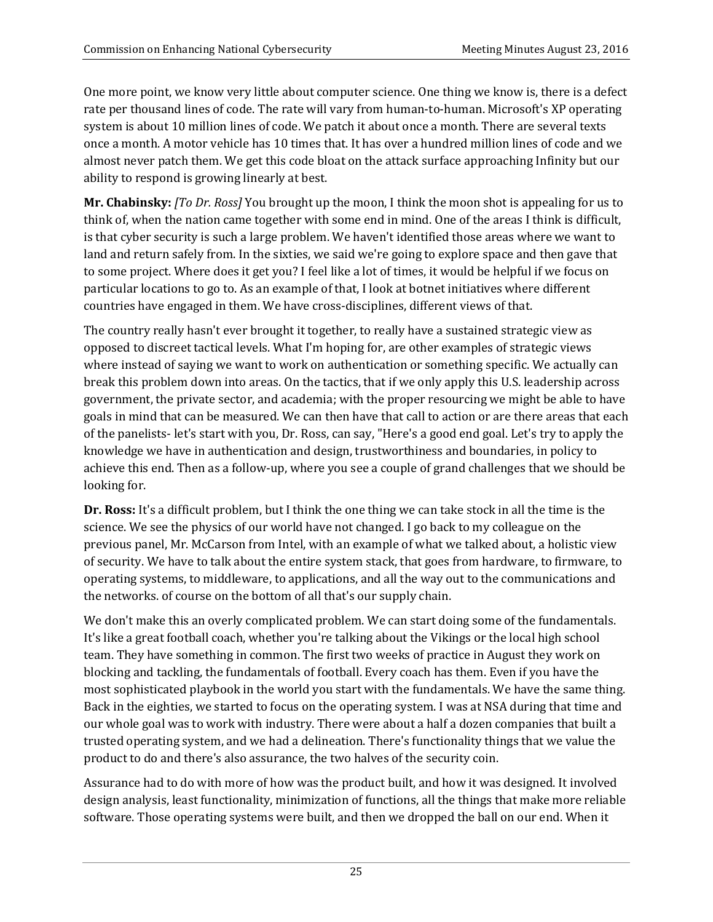One more point, we know very little about computer science. One thing we know is, there is a defect rate per thousand lines of code. The rate will vary from human-to-human. Microsoft's XP operating system is about 10 million lines of code. We patch it about once a month. There are several texts once a month. A motor vehicle has 10 times that. It has over a hundred million lines of code and we almost never patch them. We get this code bloat on the attack surface approaching Infinity but our ability to respond is growing linearly at best.

**Mr. Chabinsky:** *[To Dr. Ross]* You brought up the moon, I think the moon shot is appealing for us to think of, when the nation came together with some end in mind. One of the areas I think is difficult, is that cyber security is such a large problem. We haven't identified those areas where we want to land and return safely from. In the sixties, we said we're going to explore space and then gave that to some project. Where does it get you? I feel like a lot of times, it would be helpful if we focus on particular locations to go to. As an example of that, I look at botnet initiatives where different countries have engaged in them. We have cross-disciplines, different views of that.

The country really hasn't ever brought it together, to really have a sustained strategic view as opposed to discreet tactical levels. What I'm hoping for, are other examples of strategic views where instead of saying we want to work on authentication or something specific. We actually can break this problem down into areas. On the tactics, that if we only apply this U.S. leadership across government, the private sector, and academia; with the proper resourcing we might be able to have goals in mind that can be measured. We can then have that call to action or are there areas that each of the panelists- let's start with you, Dr. Ross, can say, "Here's a good end goal. Let's try to apply the knowledge we have in authentication and design, trustworthiness and boundaries, in policy to achieve this end. Then as a follow-up, where you see a couple of grand challenges that we should be looking for.

**Dr. Ross:** It's a difficult problem, but I think the one thing we can take stock in all the time is the science. We see the physics of our world have not changed. I go back to my colleague on the previous panel, Mr. McCarson from Intel, with an example of what we talked about, a holistic view of security. We have to talk about the entire system stack, that goes from hardware, to firmware, to operating systems, to middleware, to applications, and all the way out to the communications and the networks. of course on the bottom of all that's our supply chain.

We don't make this an overly complicated problem. We can start doing some of the fundamentals. It's like a great football coach, whether you're talking about the Vikings or the local high school team. They have something in common. The first two weeks of practice in August they work on blocking and tackling, the fundamentals of football. Every coach has them. Even if you have the most sophisticated playbook in the world you start with the fundamentals. We have the same thing. Back in the eighties, we started to focus on the operating system. I was at NSA during that time and our whole goal was to work with industry. There were about a half a dozen companies that built a trusted operating system, and we had a delineation. There's functionality things that we value the product to do and there's also assurance, the two halves of the security coin.

Assurance had to do with more of how was the product built, and how it was designed. It involved design analysis, least functionality, minimization of functions, all the things that make more reliable software. Those operating systems were built, and then we dropped the ball on our end. When it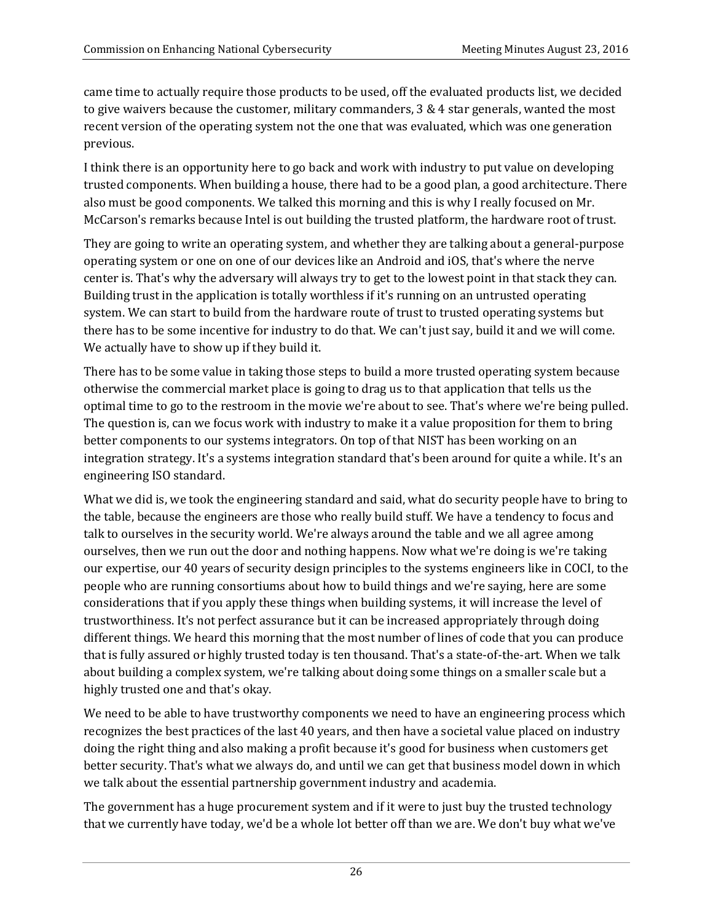came time to actually require those products to be used, off the evaluated products list, we decided to give waivers because the customer, military commanders, 3 & 4 star generals, wanted the most recent version of the operating system not the one that was evaluated, which was one generation previous.

I think there is an opportunity here to go back and work with industry to put value on developing trusted components. When building a house, there had to be a good plan, a good architecture. There also must be good components. We talked this morning and this is why I really focused on Mr. McCarson's remarks because Intel is out building the trusted platform, the hardware root of trust.

They are going to write an operating system, and whether they are talking about a general-purpose operating system or one on one of our devices like an Android and iOS, that's where the nerve center is. That's why the adversary will always try to get to the lowest point in that stack they can. Building trust in the application is totally worthless if it's running on an untrusted operating system. We can start to build from the hardware route of trust to trusted operating systems but there has to be some incentive for industry to do that. We can't just say, build it and we will come. We actually have to show up if they build it.

There has to be some value in taking those steps to build a more trusted operating system because otherwise the commercial market place is going to drag us to that application that tells us the optimal time to go to the restroom in the movie we're about to see. That's where we're being pulled. The question is, can we focus work with industry to make it a value proposition for them to bring better components to our systems integrators. On top of that NIST has been working on an integration strategy. It's a systems integration standard that's been around for quite a while. It's an engineering ISO standard.

What we did is, we took the engineering standard and said, what do security people have to bring to the table, because the engineers are those who really build stuff. We have a tendency to focus and talk to ourselves in the security world. We're always around the table and we all agree among ourselves, then we run out the door and nothing happens. Now what we're doing is we're taking our expertise, our 40 years of security design principles to the systems engineers like in COCI, to the people who are running consortiums about how to build things and we're saying, here are some considerations that if you apply these things when building systems, it will increase the level of trustworthiness. It's not perfect assurance but it can be increased appropriately through doing different things. We heard this morning that the most number of lines of code that you can produce that is fully assured or highly trusted today is ten thousand. That's a state-of-the-art. When we talk about building a complex system, we're talking about doing some things on a smaller scale but a highly trusted one and that's okay.

We need to be able to have trustworthy components we need to have an engineering process which recognizes the best practices of the last 40 years, and then have a societal value placed on industry doing the right thing and also making a profit because it's good for business when customers get better security. That's what we always do, and until we can get that business model down in which we talk about the essential partnership government industry and academia.

The government has a huge procurement system and if it were to just buy the trusted technology that we currently have today, we'd be a whole lot better off than we are. We don't buy what we've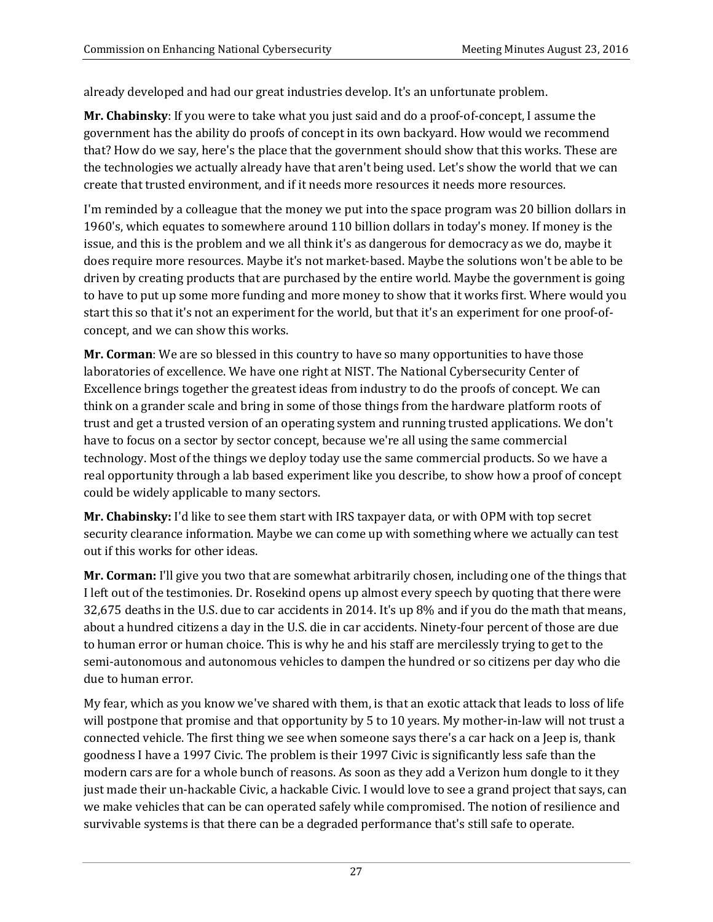already developed and had our great industries develop. It's an unfortunate problem.

**Mr. Chabinsky**: If you were to take what you just said and do a proof-of-concept, I assume the government has the ability do proofs of concept in its own backyard. How would we recommend that? How do we say, here's the place that the government should show that this works. These are the technologies we actually already have that aren't being used. Let's show the world that we can create that trusted environment, and if it needs more resources it needs more resources.

I'm reminded by a colleague that the money we put into the space program was 20 billion dollars in 1960's, which equates to somewhere around 110 billion dollars in today's money. If money is the issue, and this is the problem and we all think it's as dangerous for democracy as we do, maybe it does require more resources. Maybe it's not market-based. Maybe the solutions won't be able to be driven by creating products that are purchased by the entire world. Maybe the government is going to have to put up some more funding and more money to show that it works first. Where would you start this so that it's not an experiment for the world, but that it's an experiment for one proof-ofconcept, and we can show this works.

**Mr. Corman**: We are so blessed in this country to have so many opportunities to have those laboratories of excellence. We have one right at NIST. The National Cybersecurity Center of Excellence brings together the greatest ideas from industry to do the proofs of concept. We can think on a grander scale and bring in some of those things from the hardware platform roots of trust and get a trusted version of an operating system and running trusted applications. We don't have to focus on a sector by sector concept, because we're all using the same commercial technology. Most of the things we deploy today use the same commercial products. So we have a real opportunity through a lab based experiment like you describe, to show how a proof of concept could be widely applicable to many sectors.

**Mr. Chabinsky:** I'd like to see them start with IRS taxpayer data, or with OPM with top secret security clearance information. Maybe we can come up with something where we actually can test out if this works for other ideas.

**Mr. Corman:** I'll give you two that are somewhat arbitrarily chosen, including one of the things that I left out of the testimonies. Dr. Rosekind opens up almost every speech by quoting that there were 32,675 deaths in the U.S. due to car accidents in 2014. It's up 8% and if you do the math that means, about a hundred citizens a day in the U.S. die in car accidents. Ninety-four percent of those are due to human error or human choice. This is why he and his staff are mercilessly trying to get to the semi-autonomous and autonomous vehicles to dampen the hundred or so citizens per day who die due to human error.

My fear, which as you know we've shared with them, is that an exotic attack that leads to loss of life will postpone that promise and that opportunity by 5 to 10 years. My mother-in-law will not trust a connected vehicle. The first thing we see when someone says there's a car hack on a Jeep is, thank goodness I have a 1997 Civic. The problem is their 1997 Civic is significantly less safe than the modern cars are for a whole bunch of reasons. As soon as they add a Verizon hum dongle to it they just made their un-hackable Civic, a hackable Civic. I would love to see a grand project that says, can we make vehicles that can be can operated safely while compromised. The notion of resilience and survivable systems is that there can be a degraded performance that's still safe to operate.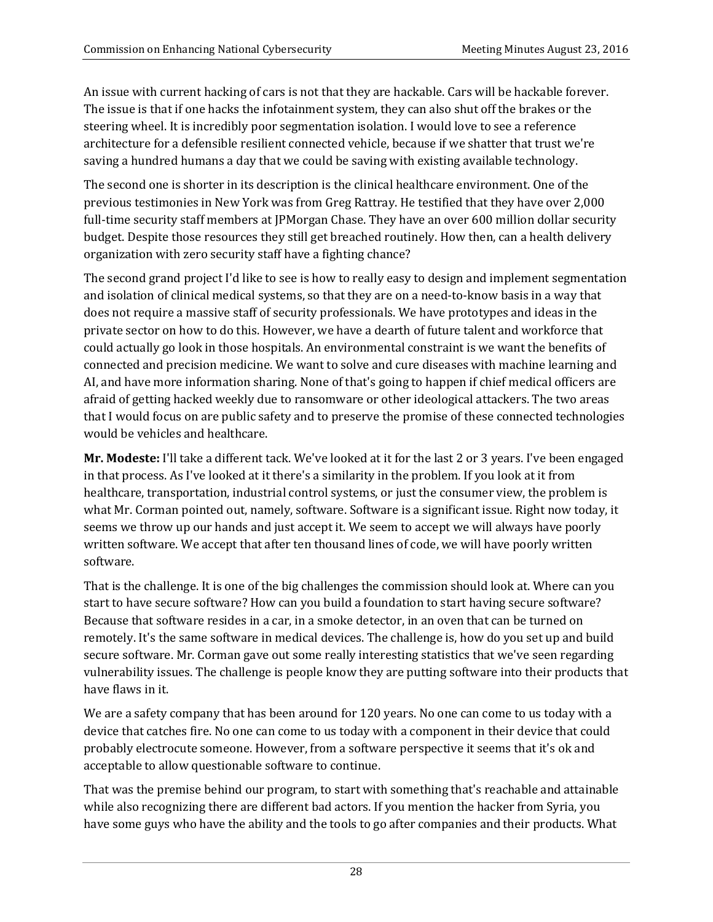An issue with current hacking of cars is not that they are hackable. Cars will be hackable forever. The issue is that if one hacks the infotainment system, they can also shut off the brakes or the steering wheel. It is incredibly poor segmentation isolation. I would love to see a reference architecture for a defensible resilient connected vehicle, because if we shatter that trust we're saving a hundred humans a day that we could be saving with existing available technology.

The second one is shorter in its description is the clinical healthcare environment. One of the previous testimonies in New York was from Greg Rattray. He testified that they have over 2,000 full-time security staff members at JPMorgan Chase. They have an over 600 million dollar security budget. Despite those resources they still get breached routinely. How then, can a health delivery organization with zero security staff have a fighting chance?

The second grand project I'd like to see is how to really easy to design and implement segmentation and isolation of clinical medical systems, so that they are on a need-to-know basis in a way that does not require a massive staff of security professionals. We have prototypes and ideas in the private sector on how to do this. However, we have a dearth of future talent and workforce that could actually go look in those hospitals. An environmental constraint is we want the benefits of connected and precision medicine. We want to solve and cure diseases with machine learning and AI, and have more information sharing. None of that's going to happen if chief medical officers are afraid of getting hacked weekly due to ransomware or other ideological attackers. The two areas that I would focus on are public safety and to preserve the promise of these connected technologies would be vehicles and healthcare.

**Mr. Modeste:** I'll take a different tack. We've looked at it for the last 2 or 3 years. I've been engaged in that process. As I've looked at it there's a similarity in the problem. If you look at it from healthcare, transportation, industrial control systems, or just the consumer view, the problem is what Mr. Corman pointed out, namely, software. Software is a significant issue. Right now today, it seems we throw up our hands and just accept it. We seem to accept we will always have poorly written software. We accept that after ten thousand lines of code, we will have poorly written software.

That is the challenge. It is one of the big challenges the commission should look at. Where can you start to have secure software? How can you build a foundation to start having secure software? Because that software resides in a car, in a smoke detector, in an oven that can be turned on remotely. It's the same software in medical devices. The challenge is, how do you set up and build secure software. Mr. Corman gave out some really interesting statistics that we've seen regarding vulnerability issues. The challenge is people know they are putting software into their products that have flaws in it.

We are a safety company that has been around for 120 years. No one can come to us today with a device that catches fire. No one can come to us today with a component in their device that could probably electrocute someone. However, from a software perspective it seems that it's ok and acceptable to allow questionable software to continue.

That was the premise behind our program, to start with something that's reachable and attainable while also recognizing there are different bad actors. If you mention the hacker from Syria, you have some guys who have the ability and the tools to go after companies and their products. What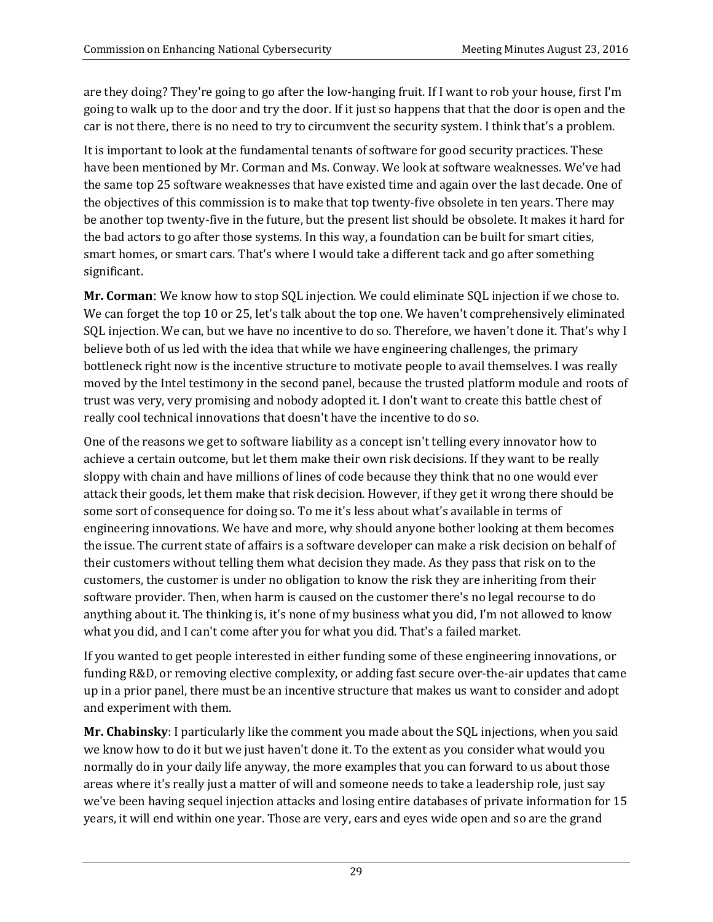are they doing? They're going to go after the low-hanging fruit. If I want to rob your house, first I'm going to walk up to the door and try the door. If it just so happens that that the door is open and the car is not there, there is no need to try to circumvent the security system. I think that's a problem.

It is important to look at the fundamental tenants of software for good security practices. These have been mentioned by Mr. Corman and Ms. Conway. We look at software weaknesses. We've had the same top 25 software weaknesses that have existed time and again over the last decade. One of the objectives of this commission is to make that top twenty-five obsolete in ten years. There may be another top twenty-five in the future, but the present list should be obsolete. It makes it hard for the bad actors to go after those systems. In this way, a foundation can be built for smart cities, smart homes, or smart cars. That's where I would take a different tack and go after something significant.

**Mr. Corman**: We know how to stop SQL injection. We could eliminate SQL injection if we chose to. We can forget the top 10 or 25, let's talk about the top one. We haven't comprehensively eliminated SQL injection. We can, but we have no incentive to do so. Therefore, we haven't done it. That's why I believe both of us led with the idea that while we have engineering challenges, the primary bottleneck right now is the incentive structure to motivate people to avail themselves. I was really moved by the Intel testimony in the second panel, because the trusted platform module and roots of trust was very, very promising and nobody adopted it. I don't want to create this battle chest of really cool technical innovations that doesn't have the incentive to do so.

One of the reasons we get to software liability as a concept isn't telling every innovator how to achieve a certain outcome, but let them make their own risk decisions. If they want to be really sloppy with chain and have millions of lines of code because they think that no one would ever attack their goods, let them make that risk decision. However, if they get it wrong there should be some sort of consequence for doing so. To me it's less about what's available in terms of engineering innovations. We have and more, why should anyone bother looking at them becomes the issue. The current state of affairs is a software developer can make a risk decision on behalf of their customers without telling them what decision they made. As they pass that risk on to the customers, the customer is under no obligation to know the risk they are inheriting from their software provider. Then, when harm is caused on the customer there's no legal recourse to do anything about it. The thinking is, it's none of my business what you did, I'm not allowed to know what you did, and I can't come after you for what you did. That's a failed market.

If you wanted to get people interested in either funding some of these engineering innovations, or funding R&D, or removing elective complexity, or adding fast secure over-the-air updates that came up in a prior panel, there must be an incentive structure that makes us want to consider and adopt and experiment with them.

**Mr. Chabinsky**: I particularly like the comment you made about the SQL injections, when you said we know how to do it but we just haven't done it. To the extent as you consider what would you normally do in your daily life anyway, the more examples that you can forward to us about those areas where it's really just a matter of will and someone needs to take a leadership role, just say we've been having sequel injection attacks and losing entire databases of private information for 15 years, it will end within one year. Those are very, ears and eyes wide open and so are the grand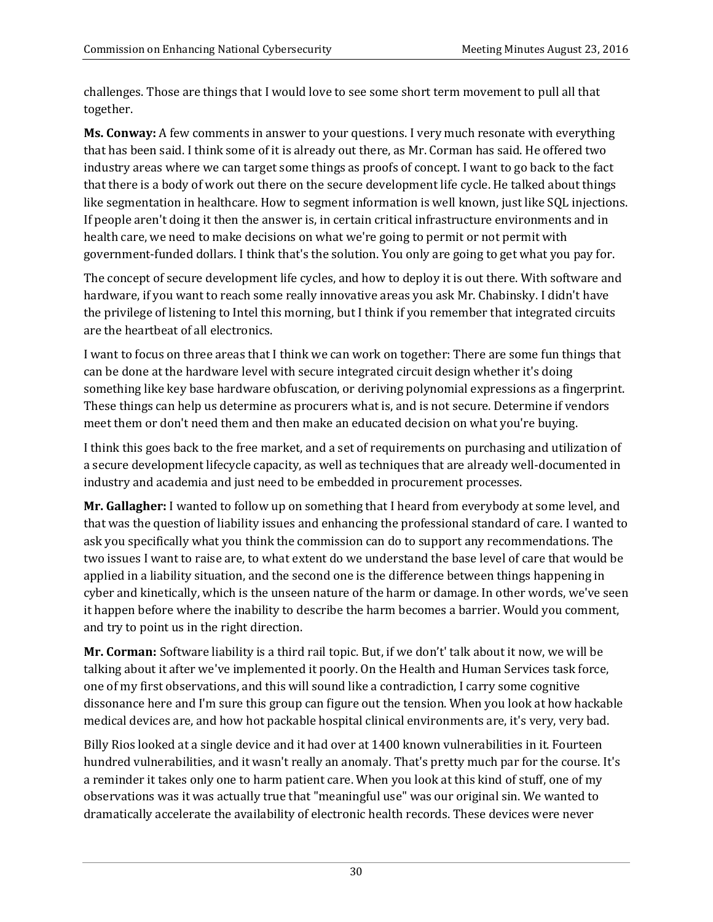challenges. Those are things that I would love to see some short term movement to pull all that together.

**Ms. Conway:** A few comments in answer to your questions. I very much resonate with everything that has been said. I think some of it is already out there, as Mr. Corman has said. He offered two industry areas where we can target some things as proofs of concept. I want to go back to the fact that there is a body of work out there on the secure development life cycle. He talked about things like segmentation in healthcare. How to segment information is well known, just like SQL injections. If people aren't doing it then the answer is, in certain critical infrastructure environments and in health care, we need to make decisions on what we're going to permit or not permit with government-funded dollars. I think that's the solution. You only are going to get what you pay for.

The concept of secure development life cycles, and how to deploy it is out there. With software and hardware, if you want to reach some really innovative areas you ask Mr. Chabinsky. I didn't have the privilege of listening to Intel this morning, but I think if you remember that integrated circuits are the heartbeat of all electronics.

I want to focus on three areas that I think we can work on together: There are some fun things that can be done at the hardware level with secure integrated circuit design whether it's doing something like key base hardware obfuscation, or deriving polynomial expressions as a fingerprint. These things can help us determine as procurers what is, and is not secure. Determine if vendors meet them or don't need them and then make an educated decision on what you're buying.

I think this goes back to the free market, and a set of requirements on purchasing and utilization of a secure development lifecycle capacity, as well as techniques that are already well-documented in industry and academia and just need to be embedded in procurement processes.

**Mr. Gallagher:** I wanted to follow up on something that I heard from everybody at some level, and that was the question of liability issues and enhancing the professional standard of care. I wanted to ask you specifically what you think the commission can do to support any recommendations. The two issues I want to raise are, to what extent do we understand the base level of care that would be applied in a liability situation, and the second one is the difference between things happening in cyber and kinetically, which is the unseen nature of the harm or damage. In other words, we've seen it happen before where the inability to describe the harm becomes a barrier. Would you comment, and try to point us in the right direction.

**Mr. Corman:** Software liability is a third rail topic. But, if we don't' talk about it now, we will be talking about it after we've implemented it poorly. On the Health and Human Services task force, one of my first observations, and this will sound like a contradiction, I carry some cognitive dissonance here and I'm sure this group can figure out the tension. When you look at how hackable medical devices are, and how hot packable hospital clinical environments are, it's very, very bad.

Billy Rios looked at a single device and it had over at 1400 known vulnerabilities in it. Fourteen hundred vulnerabilities, and it wasn't really an anomaly. That's pretty much par for the course. It's a reminder it takes only one to harm patient care. When you look at this kind of stuff, one of my observations was it was actually true that "meaningful use" was our original sin. We wanted to dramatically accelerate the availability of electronic health records. These devices were never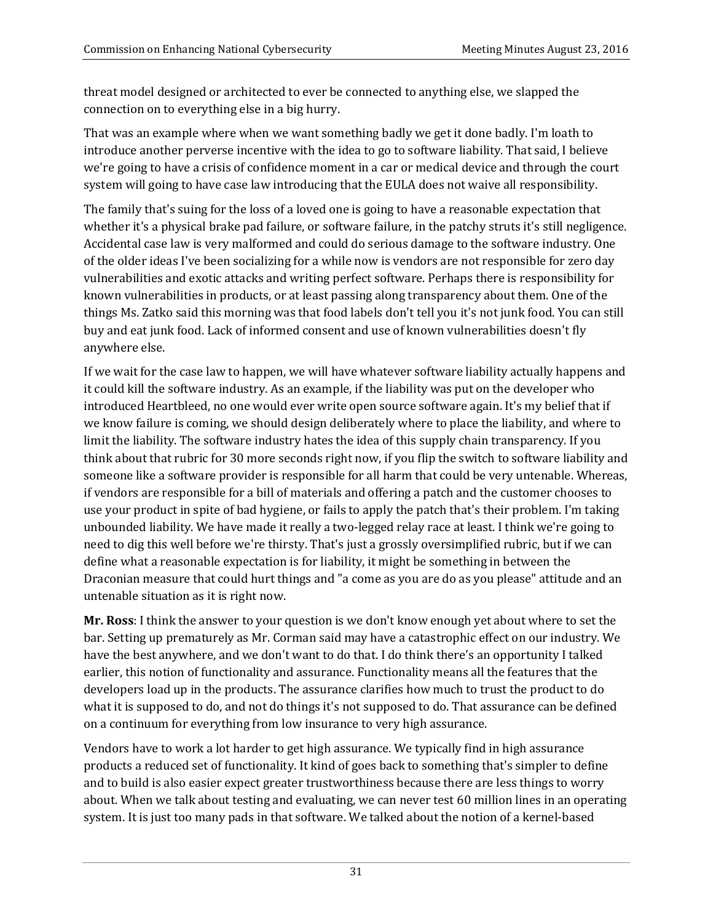threat model designed or architected to ever be connected to anything else, we slapped the connection on to everything else in a big hurry.

That was an example where when we want something badly we get it done badly. I'm loath to introduce another perverse incentive with the idea to go to software liability. That said, I believe we're going to have a crisis of confidence moment in a car or medical device and through the court system will going to have case law introducing that the EULA does not waive all responsibility.

The family that's suing for the loss of a loved one is going to have a reasonable expectation that whether it's a physical brake pad failure, or software failure, in the patchy struts it's still negligence. Accidental case law is very malformed and could do serious damage to the software industry. One of the older ideas I've been socializing for a while now is vendors are not responsible for zero day vulnerabilities and exotic attacks and writing perfect software. Perhaps there is responsibility for known vulnerabilities in products, or at least passing along transparency about them. One of the things Ms. Zatko said this morning was that food labels don't tell you it's not junk food. You can still buy and eat junk food. Lack of informed consent and use of known vulnerabilities doesn't fly anywhere else.

If we wait for the case law to happen, we will have whatever software liability actually happens and it could kill the software industry. As an example, if the liability was put on the developer who introduced Heartbleed, no one would ever write open source software again. It's my belief that if we know failure is coming, we should design deliberately where to place the liability, and where to limit the liability. The software industry hates the idea of this supply chain transparency. If you think about that rubric for 30 more seconds right now, if you flip the switch to software liability and someone like a software provider is responsible for all harm that could be very untenable. Whereas, if vendors are responsible for a bill of materials and offering a patch and the customer chooses to use your product in spite of bad hygiene, or fails to apply the patch that's their problem. I'm taking unbounded liability. We have made it really a two-legged relay race at least. I think we're going to need to dig this well before we're thirsty. That's just a grossly oversimplified rubric, but if we can define what a reasonable expectation is for liability, it might be something in between the Draconian measure that could hurt things and "a come as you are do as you please" attitude and an untenable situation as it is right now.

**Mr. Ross**: I think the answer to your question is we don't know enough yet about where to set the bar. Setting up prematurely as Mr. Corman said may have a catastrophic effect on our industry. We have the best anywhere, and we don't want to do that. I do think there's an opportunity I talked earlier, this notion of functionality and assurance. Functionality means all the features that the developers load up in the products. The assurance clarifies how much to trust the product to do what it is supposed to do, and not do things it's not supposed to do. That assurance can be defined on a continuum for everything from low insurance to very high assurance.

Vendors have to work a lot harder to get high assurance. We typically find in high assurance products a reduced set of functionality. It kind of goes back to something that's simpler to define and to build is also easier expect greater trustworthiness because there are less things to worry about. When we talk about testing and evaluating, we can never test 60 million lines in an operating system. It is just too many pads in that software. We talked about the notion of a kernel-based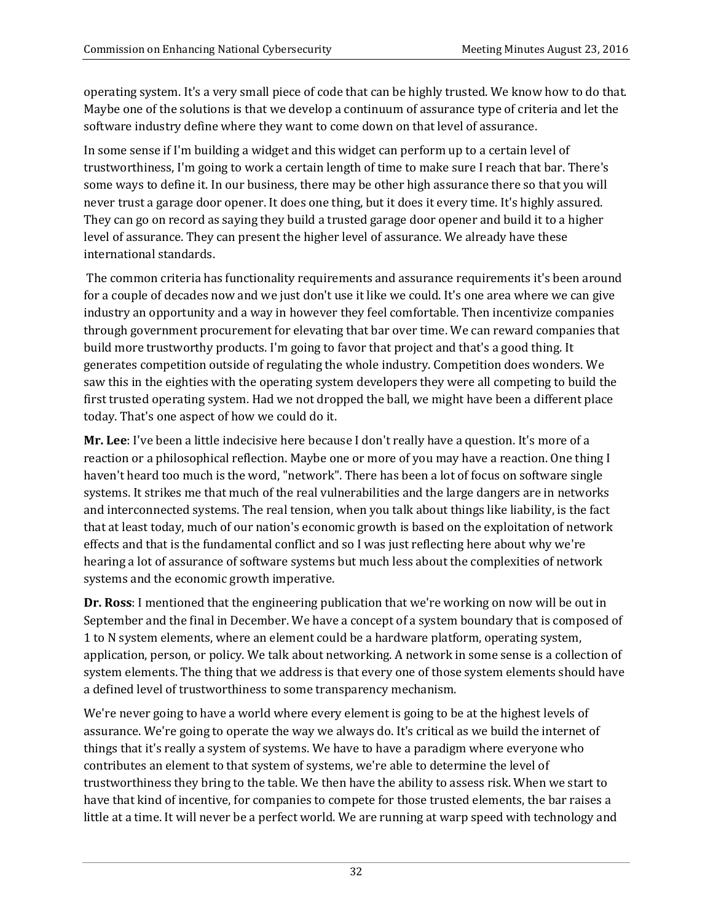operating system. It's a very small piece of code that can be highly trusted. We know how to do that. Maybe one of the solutions is that we develop a continuum of assurance type of criteria and let the software industry define where they want to come down on that level of assurance.

In some sense if I'm building a widget and this widget can perform up to a certain level of trustworthiness, I'm going to work a certain length of time to make sure I reach that bar. There's some ways to define it. In our business, there may be other high assurance there so that you will never trust a garage door opener. It does one thing, but it does it every time. It's highly assured. They can go on record as saying they build a trusted garage door opener and build it to a higher level of assurance. They can present the higher level of assurance. We already have these international standards.

The common criteria has functionality requirements and assurance requirements it's been around for a couple of decades now and we just don't use it like we could. It's one area where we can give industry an opportunity and a way in however they feel comfortable. Then incentivize companies through government procurement for elevating that bar over time. We can reward companies that build more trustworthy products. I'm going to favor that project and that's a good thing. It generates competition outside of regulating the whole industry. Competition does wonders. We saw this in the eighties with the operating system developers they were all competing to build the first trusted operating system. Had we not dropped the ball, we might have been a different place today. That's one aspect of how we could do it.

**Mr. Lee**: I've been a little indecisive here because I don't really have a question. It's more of a reaction or a philosophical reflection. Maybe one or more of you may have a reaction. One thing I haven't heard too much is the word, "network". There has been a lot of focus on software single systems. It strikes me that much of the real vulnerabilities and the large dangers are in networks and interconnected systems. The real tension, when you talk about things like liability, is the fact that at least today, much of our nation's economic growth is based on the exploitation of network effects and that is the fundamental conflict and so I was just reflecting here about why we're hearing a lot of assurance of software systems but much less about the complexities of network systems and the economic growth imperative.

**Dr. Ross**: I mentioned that the engineering publication that we're working on now will be out in September and the final in December. We have a concept of a system boundary that is composed of 1 to N system elements, where an element could be a hardware platform, operating system, application, person, or policy. We talk about networking. A network in some sense is a collection of system elements. The thing that we address is that every one of those system elements should have a defined level of trustworthiness to some transparency mechanism.

We're never going to have a world where every element is going to be at the highest levels of assurance. We're going to operate the way we always do. It's critical as we build the internet of things that it's really a system of systems. We have to have a paradigm where everyone who contributes an element to that system of systems, we're able to determine the level of trustworthiness they bring to the table. We then have the ability to assess risk. When we start to have that kind of incentive, for companies to compete for those trusted elements, the bar raises a little at a time. It will never be a perfect world. We are running at warp speed with technology and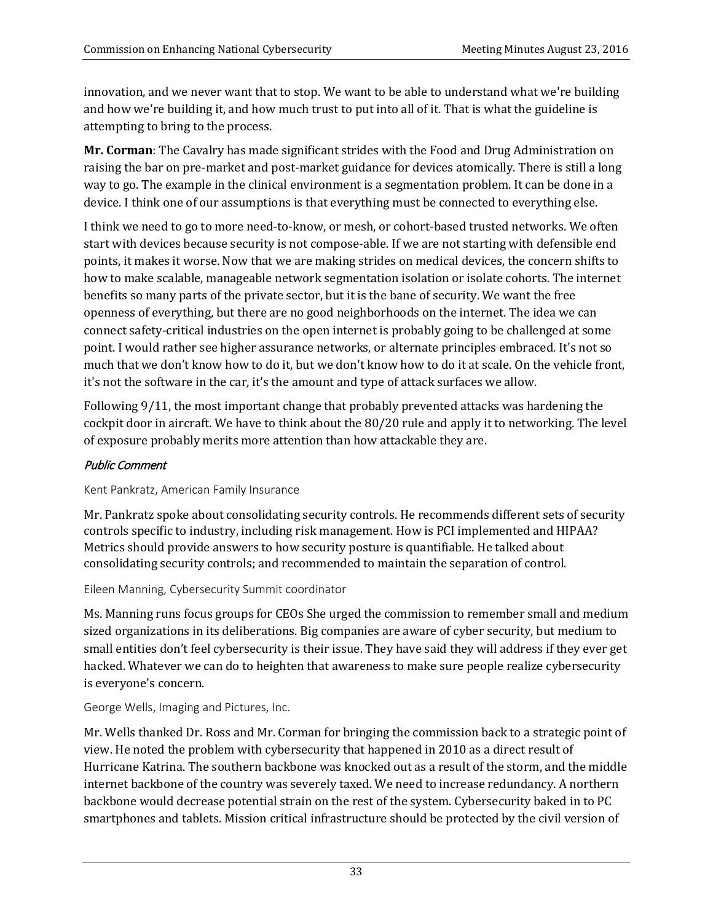innovation, and we never want that to stop. We want to be able to understand what we're building and how we're building it, and how much trust to put into all of it. That is what the guideline is attempting to bring to the process.

**Mr. Corman**: The Cavalry has made significant strides with the Food and Drug Administration on raising the bar on pre-market and post-market guidance for devices atomically. There is still a long way to go. The example in the clinical environment is a segmentation problem. It can be done in a device. I think one of our assumptions is that everything must be connected to everything else.

I think we need to go to more need-to-know, or mesh, or cohort-based trusted networks. We often start with devices because security is not compose-able. If we are not starting with defensible end points, it makes it worse. Now that we are making strides on medical devices, the concern shifts to how to make scalable, manageable network segmentation isolation or isolate cohorts. The internet benefits so many parts of the private sector, but it is the bane of security. We want the free openness of everything, but there are no good neighborhoods on the internet. The idea we can connect safety-critical industries on the open internet is probably going to be challenged at some point. I would rather see higher assurance networks, or alternate principles embraced. It's not so much that we don't know how to do it, but we don't know how to do it at scale. On the vehicle front, it's not the software in the car, it's the amount and type of attack surfaces we allow.

Following 9/11, the most important change that probably prevented attacks was hardening the cockpit door in aircraft. We have to think about the 80/20 rule and apply it to networking. The level of exposure probably merits more attention than how attackable they are.

# Public Comment

Kent Pankratz, American Family Insurance

Mr. Pankratz spoke about consolidating security controls. He recommends different sets of security controls specific to industry, including risk management. How is PCI implemented and HIPAA? Metrics should provide answers to how security posture is quantifiable. He talked about consolidating security controls; and recommended to maintain the separation of control.

Eileen Manning, Cybersecurity Summit coordinator

Ms. Manning runs focus groups for CEOs She urged the commission to remember small and medium sized organizations in its deliberations. Big companies are aware of cyber security, but medium to small entities don't feel cybersecurity is their issue. They have said they will address if they ever get hacked. Whatever we can do to heighten that awareness to make sure people realize cybersecurity is everyone's concern.

George Wells, Imaging and Pictures, Inc.

Mr. Wells thanked Dr. Ross and Mr. Corman for bringing the commission back to a strategic point of view. He noted the problem with cybersecurity that happened in 2010 as a direct result of Hurricane Katrina. The southern backbone was knocked out as a result of the storm, and the middle internet backbone of the country was severely taxed. We need to increase redundancy. A northern backbone would decrease potential strain on the rest of the system. Cybersecurity baked in to PC smartphones and tablets. Mission critical infrastructure should be protected by the civil version of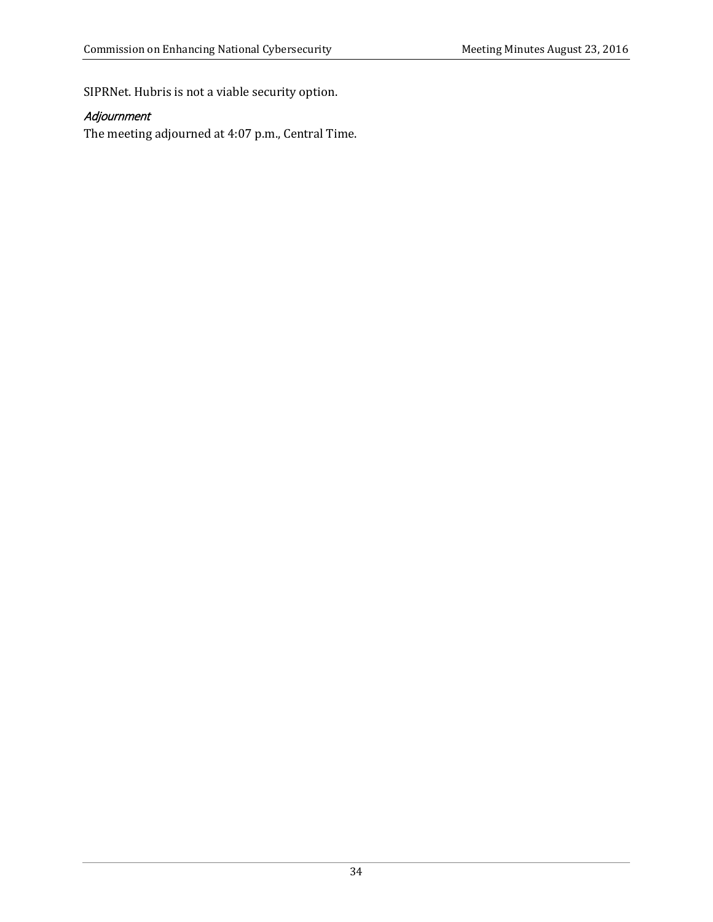SIPRNet. Hubris is not a viable security option.

# Adjournment

The meeting adjourned at 4:07 p.m., Central Time.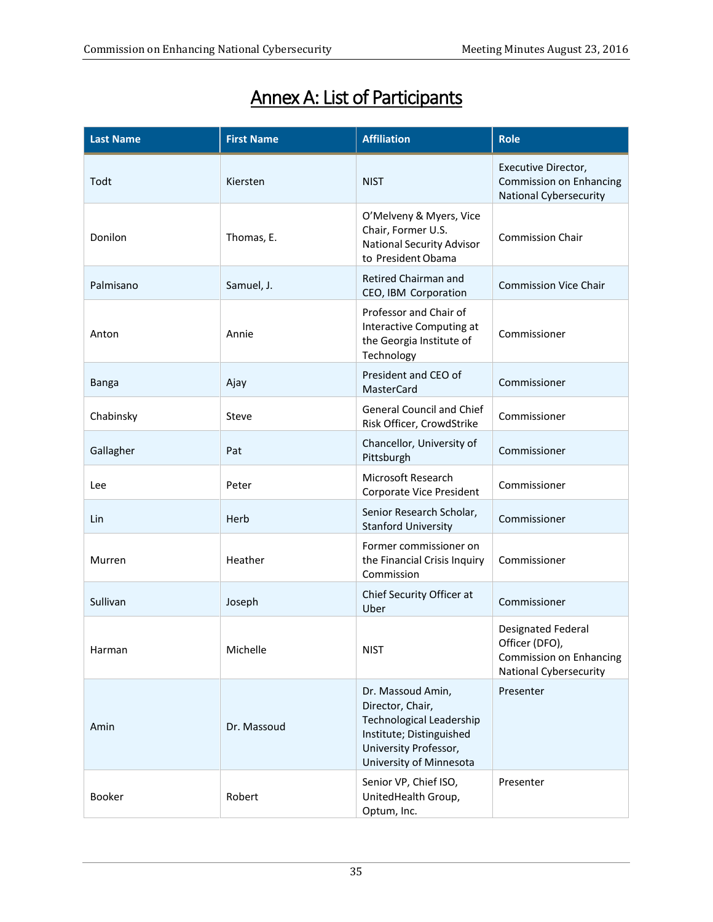# Annex A: List of Participants

| <b>Last Name</b> | <b>First Name</b> | <b>Affiliation</b>                                                                                                                                       | <b>Role</b>                                                                               |
|------------------|-------------------|----------------------------------------------------------------------------------------------------------------------------------------------------------|-------------------------------------------------------------------------------------------|
| Todt             | Kiersten          | <b>NIST</b>                                                                                                                                              | Executive Director,<br><b>Commission on Enhancing</b><br><b>National Cybersecurity</b>    |
| Donilon          | Thomas, E.        | O'Melveny & Myers, Vice<br>Chair, Former U.S.<br><b>National Security Advisor</b><br>to President Obama                                                  | <b>Commission Chair</b>                                                                   |
| Palmisano        | Samuel, J.        | Retired Chairman and<br>CEO, IBM Corporation                                                                                                             | <b>Commission Vice Chair</b>                                                              |
| Anton            | Annie             | Professor and Chair of<br>Interactive Computing at<br>the Georgia Institute of<br>Technology                                                             | Commissioner                                                                              |
| Banga            | Ajay              | President and CEO of<br>MasterCard                                                                                                                       | Commissioner                                                                              |
| Chabinsky        | Steve             | <b>General Council and Chief</b><br>Risk Officer, CrowdStrike                                                                                            | Commissioner                                                                              |
| Gallagher        | Pat               | Chancellor, University of<br>Pittsburgh                                                                                                                  | Commissioner                                                                              |
| Lee              | Peter             | Microsoft Research<br>Corporate Vice President                                                                                                           | Commissioner                                                                              |
| Lin              | Herb              | Senior Research Scholar,<br><b>Stanford University</b>                                                                                                   | Commissioner                                                                              |
| Murren           | Heather           | Former commissioner on<br>the Financial Crisis Inquiry<br>Commission                                                                                     | Commissioner                                                                              |
| Sullivan         | Joseph            | Chief Security Officer at<br>Uber                                                                                                                        | Commissioner                                                                              |
| Harman           | Michelle          | <b>NIST</b>                                                                                                                                              | Designated Federal<br>Officer (DFO),<br>Commission on Enhancing<br>National Cybersecurity |
| Amin             | Dr. Massoud       | Dr. Massoud Amin,<br>Director, Chair,<br><b>Technological Leadership</b><br>Institute; Distinguished<br>University Professor,<br>University of Minnesota | Presenter                                                                                 |
| Booker           | Robert            | Senior VP, Chief ISO,<br>UnitedHealth Group,<br>Optum, Inc.                                                                                              | Presenter                                                                                 |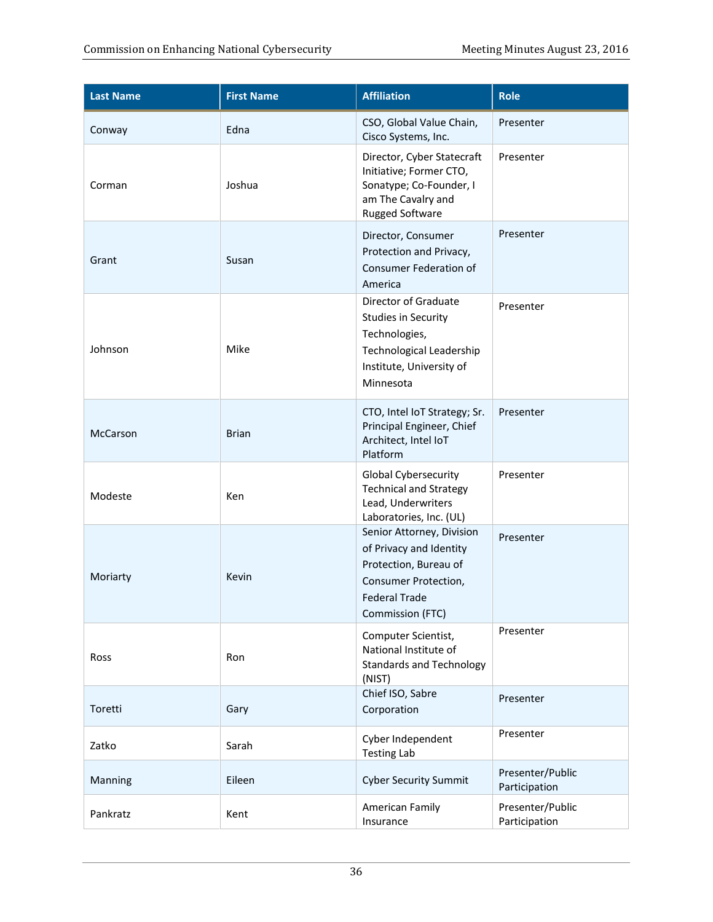| <b>Last Name</b> | <b>First Name</b> | <b>Affiliation</b>                                                                                                                                | <b>Role</b>                       |
|------------------|-------------------|---------------------------------------------------------------------------------------------------------------------------------------------------|-----------------------------------|
| Conway           | Edna              | CSO, Global Value Chain,<br>Cisco Systems, Inc.                                                                                                   | Presenter                         |
| Corman           | Joshua            | Director, Cyber Statecraft<br>Initiative; Former CTO,<br>Sonatype; Co-Founder, I<br>am The Cavalry and<br><b>Rugged Software</b>                  | Presenter                         |
| Grant            | Susan             | Director, Consumer<br>Protection and Privacy,<br><b>Consumer Federation of</b><br>America                                                         | Presenter                         |
| Johnson          | Mike              | Director of Graduate<br><b>Studies in Security</b><br>Technologies,<br>Technological Leadership<br>Institute, University of<br>Minnesota          | Presenter                         |
| McCarson         | <b>Brian</b>      | CTO, Intel IoT Strategy; Sr.<br>Principal Engineer, Chief<br>Architect, Intel IoT<br>Platform                                                     | Presenter                         |
| Modeste          | Ken               | <b>Global Cybersecurity</b><br><b>Technical and Strategy</b><br>Lead, Underwriters<br>Laboratories, Inc. (UL)                                     | Presenter                         |
| Moriarty         | Kevin             | Senior Attorney, Division<br>of Privacy and Identity<br>Protection, Bureau of<br>Consumer Protection,<br><b>Federal Trade</b><br>Commission (FTC) | Presenter                         |
| Ross             | Ron               | Computer Scientist,<br>National Institute of<br><b>Standards and Technology</b><br>(NIST)                                                         | Presenter                         |
| Toretti          | Gary              | Chief ISO, Sabre<br>Corporation                                                                                                                   | Presenter                         |
| Zatko            | Sarah             | Cyber Independent<br><b>Testing Lab</b>                                                                                                           | Presenter                         |
| Manning          | Eileen            | <b>Cyber Security Summit</b>                                                                                                                      | Presenter/Public<br>Participation |
| Pankratz         | Kent              | American Family<br>Insurance                                                                                                                      | Presenter/Public<br>Participation |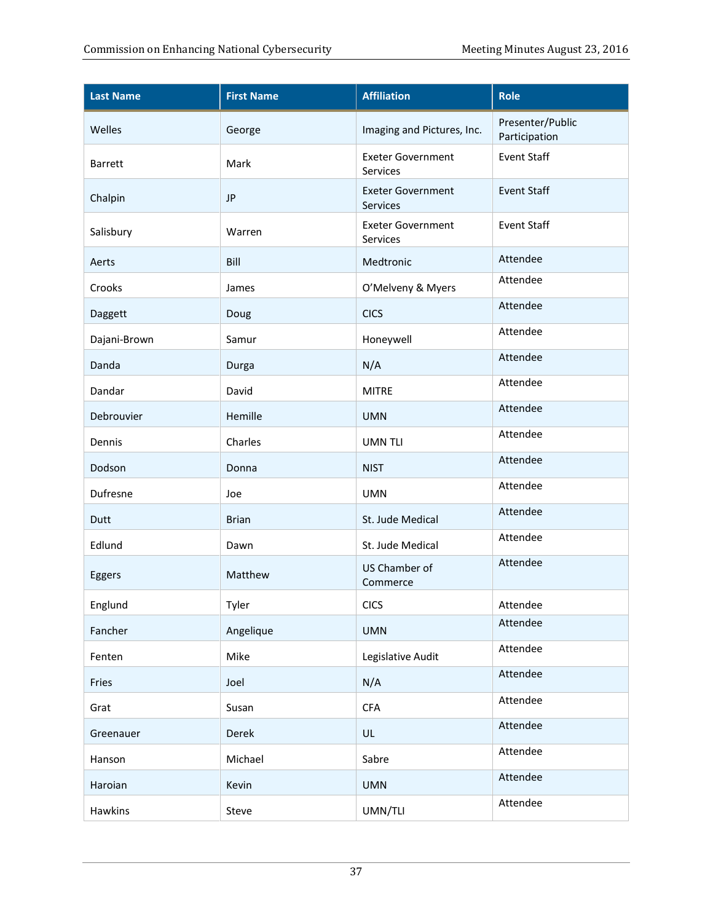| <b>Last Name</b> | <b>First Name</b> | <b>Affiliation</b>                   | <b>Role</b>                       |
|------------------|-------------------|--------------------------------------|-----------------------------------|
| Welles           | George            | Imaging and Pictures, Inc.           | Presenter/Public<br>Participation |
| <b>Barrett</b>   | Mark              | <b>Exeter Government</b><br>Services | <b>Event Staff</b>                |
| Chalpin          | <b>JP</b>         | <b>Exeter Government</b><br>Services | <b>Event Staff</b>                |
| Salisbury        | Warren            | <b>Exeter Government</b><br>Services | Event Staff                       |
| Aerts            | Bill              | Medtronic                            | Attendee                          |
| Crooks           | James             | O'Melveny & Myers                    | Attendee                          |
| Daggett          | Doug              | <b>CICS</b>                          | Attendee                          |
| Dajani-Brown     | Samur             | Honeywell                            | Attendee                          |
| Danda            | Durga             | N/A                                  | Attendee                          |
| Dandar           | David             | <b>MITRE</b>                         | Attendee                          |
| Debrouvier       | Hemille           | <b>UMN</b>                           | Attendee                          |
| Dennis           | Charles           | <b>UMN TLI</b>                       | Attendee                          |
| Dodson           | Donna             | <b>NIST</b>                          | Attendee                          |
| Dufresne         | Joe               | <b>UMN</b>                           | Attendee                          |
| Dutt             | <b>Brian</b>      | St. Jude Medical                     | Attendee                          |
| Edlund           | Dawn              | St. Jude Medical                     | Attendee                          |
| Eggers           | Matthew           | US Chamber of<br>Commerce            | Attendee                          |
| Englund          | Tyler             | <b>CICS</b>                          | Attendee                          |
| Fancher          | Angelique         | <b>UMN</b>                           | Attendee                          |
| Fenten           | Mike              | Legislative Audit                    | Attendee                          |
| Fries            | Joel              | N/A                                  | Attendee                          |
| Grat             | Susan             | <b>CFA</b>                           | Attendee                          |
| Greenauer        | Derek             | UL                                   | Attendee                          |
| Hanson           | Michael           | Sabre                                | Attendee                          |
| Haroian          | Kevin             | <b>UMN</b>                           | Attendee                          |
| Hawkins          | Steve             | UMN/TLI                              | Attendee                          |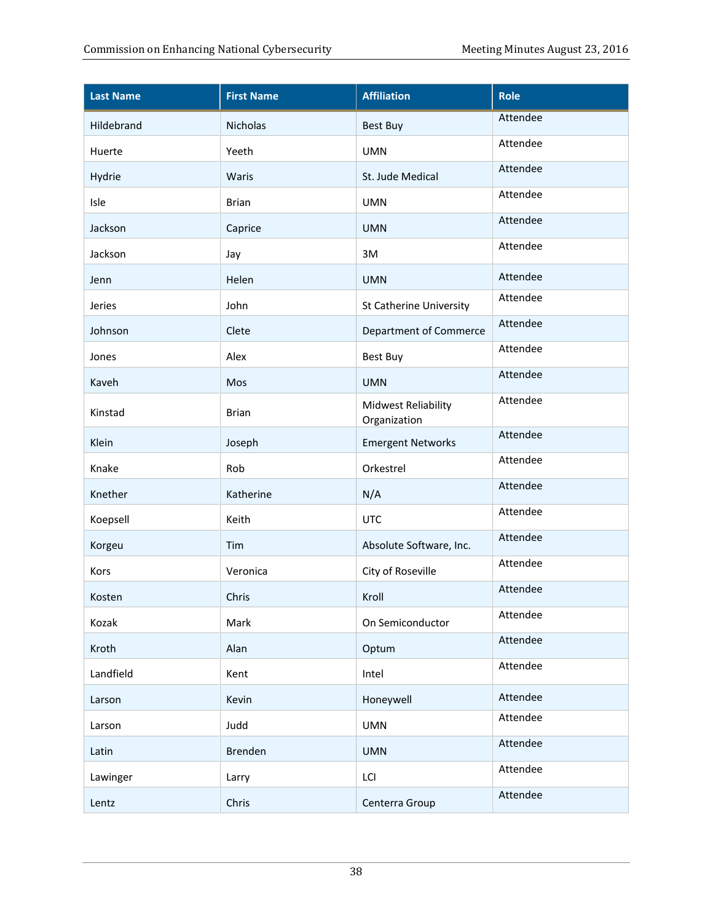| <b>Last Name</b> | <b>First Name</b> | <b>Affiliation</b>                         | <b>Role</b> |
|------------------|-------------------|--------------------------------------------|-------------|
| Hildebrand       | Nicholas          | <b>Best Buy</b>                            | Attendee    |
| Huerte           | Yeeth             | <b>UMN</b>                                 | Attendee    |
| Hydrie           | Waris             | St. Jude Medical                           | Attendee    |
| Isle             | <b>Brian</b>      | <b>UMN</b>                                 | Attendee    |
| Jackson          | Caprice           | <b>UMN</b>                                 | Attendee    |
| Jackson          | Jay               | 3M                                         | Attendee    |
| Jenn             | Helen             | <b>UMN</b>                                 | Attendee    |
| Jeries           | John              | <b>St Catherine University</b>             | Attendee    |
| Johnson          | Clete             | <b>Department of Commerce</b>              | Attendee    |
| Jones            | Alex              | <b>Best Buy</b>                            | Attendee    |
| Kaveh            | Mos               | <b>UMN</b>                                 | Attendee    |
| Kinstad          | <b>Brian</b>      | <b>Midwest Reliability</b><br>Organization | Attendee    |
| Klein            | Joseph            | <b>Emergent Networks</b>                   | Attendee    |
| Knake            | Rob               | Orkestrel                                  | Attendee    |
| Knether          | Katherine         | N/A                                        | Attendee    |
| Koepsell         | Keith             | <b>UTC</b>                                 | Attendee    |
| Korgeu           | Tim               | Absolute Software, Inc.                    | Attendee    |
| Kors             | Veronica          | City of Roseville                          | Attendee    |
| Kosten           | Chris             | Kroll                                      | Attendee    |
| Kozak            | Mark              | On Semiconductor                           | Attendee    |
| Kroth            | Alan              | Optum                                      | Attendee    |
| Landfield        | Kent              | Intel                                      | Attendee    |
| Larson           | Kevin             | Honeywell                                  | Attendee    |
| Larson           | Judd              | <b>UMN</b>                                 | Attendee    |
| Latin            | Brenden           | <b>UMN</b>                                 | Attendee    |
| Lawinger         | Larry             | LCI                                        | Attendee    |
| Lentz            | Chris             | Centerra Group                             | Attendee    |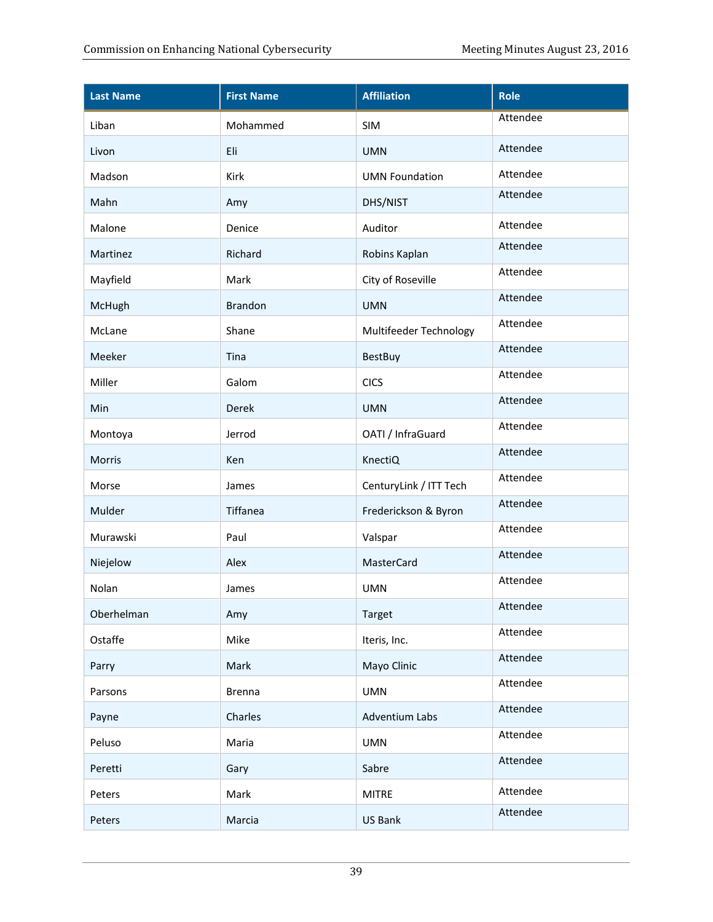| <b>Last Name</b> | <b>First Name</b> | <b>Affiliation</b>     | <b>Role</b>     |
|------------------|-------------------|------------------------|-----------------|
| Liban            | Mohammed          | SIM                    | <b>Attendee</b> |
| Livon            | Eli               | <b>UMN</b>             | Attendee        |
| Madson           | Kirk              | <b>UMN Foundation</b>  | Attendee        |
| Mahn             | Amy               | DHS/NIST               | Attendee        |
| Malone           | Denice            | Auditor                | Attendee        |
| Martinez         | Richard           | Robins Kaplan          | Attendee        |
| Mayfield         | Mark              | City of Roseville      | Attendee        |
| McHugh           | Brandon           | <b>UMN</b>             | Attendee        |
| McLane           | Shane             | Multifeeder Technology | Attendee        |
| Meeker           | Tina              | <b>BestBuy</b>         | Attendee        |
| Miller           | Galom             | <b>CICS</b>            | Attendee        |
| Min              | Derek             | <b>UMN</b>             | Attendee        |
| Montoya          | Jerrod            | OATI / InfraGuard      | Attendee        |
| Morris           | Ken               | KnectiQ                | Attendee        |
| Morse            | James             | CenturyLink / ITT Tech | Attendee        |
| Mulder           | Tiffanea          | Frederickson & Byron   | Attendee        |
| Murawski         | Paul              | Valspar                | Attendee        |
| Niejelow         | Alex              | MasterCard             | Attendee        |
| Nolan            | James             | <b>UMN</b>             | Attendee        |
| Oberhelman       | Amy               | Target                 | Attendee        |
| Ostaffe          | Mike              | Iteris, Inc.           | Attendee        |
| Parry            | Mark              | Mayo Clinic            | Attendee        |
| Parsons          | <b>Brenna</b>     | <b>UMN</b>             | Attendee        |
| Payne            | Charles           | <b>Adventium Labs</b>  | Attendee        |
| Peluso           | Maria             | <b>UMN</b>             | Attendee        |
| Peretti          | Gary              | Sabre                  | Attendee        |
| Peters           | Mark              | <b>MITRE</b>           | Attendee        |
| Peters           | Marcia            | US Bank                | Attendee        |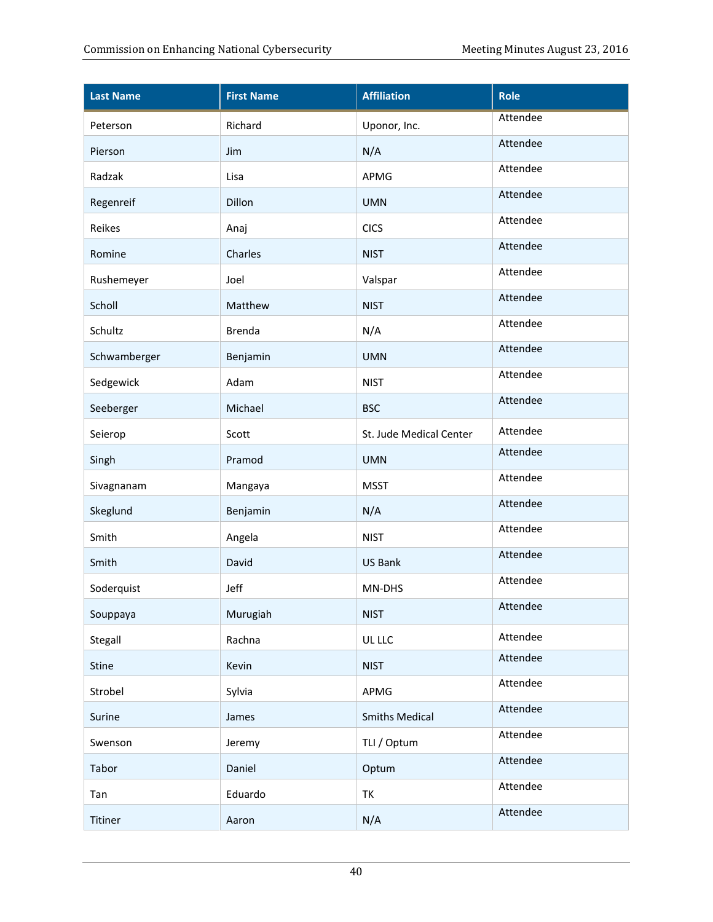| <b>Last Name</b> | <b>First Name</b> | <b>Affiliation</b>      | Role     |
|------------------|-------------------|-------------------------|----------|
| Peterson         | Richard           | Uponor, Inc.            | Attendee |
| Pierson          | Jim               | N/A                     | Attendee |
| Radzak           | Lisa              | APMG                    | Attendee |
| Regenreif        | Dillon            | <b>UMN</b>              | Attendee |
| Reikes           | Anaj              | <b>CICS</b>             | Attendee |
| Romine           | Charles           | <b>NIST</b>             | Attendee |
| Rushemeyer       | Joel              | Valspar                 | Attendee |
| Scholl           | Matthew           | <b>NIST</b>             | Attendee |
| Schultz          | Brenda            | N/A                     | Attendee |
| Schwamberger     | Benjamin          | <b>UMN</b>              | Attendee |
| Sedgewick        | Adam              | <b>NIST</b>             | Attendee |
| Seeberger        | Michael           | <b>BSC</b>              | Attendee |
| Seierop          | Scott             | St. Jude Medical Center | Attendee |
| Singh            | Pramod            | <b>UMN</b>              | Attendee |
| Sivagnanam       | Mangaya           | <b>MSST</b>             | Attendee |
| Skeglund         | Benjamin          | N/A                     | Attendee |
| Smith            | Angela            | <b>NIST</b>             | Attendee |
| Smith            | David             | <b>US Bank</b>          | Attendee |
| Soderquist       | Jeff              | MN-DHS                  | Attendee |
| Souppaya         | Murugiah          | <b>NIST</b>             | Attendee |
| Stegall          | Rachna            | UL LLC                  | Attendee |
| Stine            | Kevin             | <b>NIST</b>             | Attendee |
| Strobel          | Sylvia            | APMG                    | Attendee |
| Surine           | James             | <b>Smiths Medical</b>   | Attendee |
| Swenson          | Jeremy            | TLI / Optum             | Attendee |
| Tabor            | Daniel            | Optum                   | Attendee |
| Tan              | Eduardo           | TK                      | Attendee |
| Titiner          | Aaron             | N/A                     | Attendee |